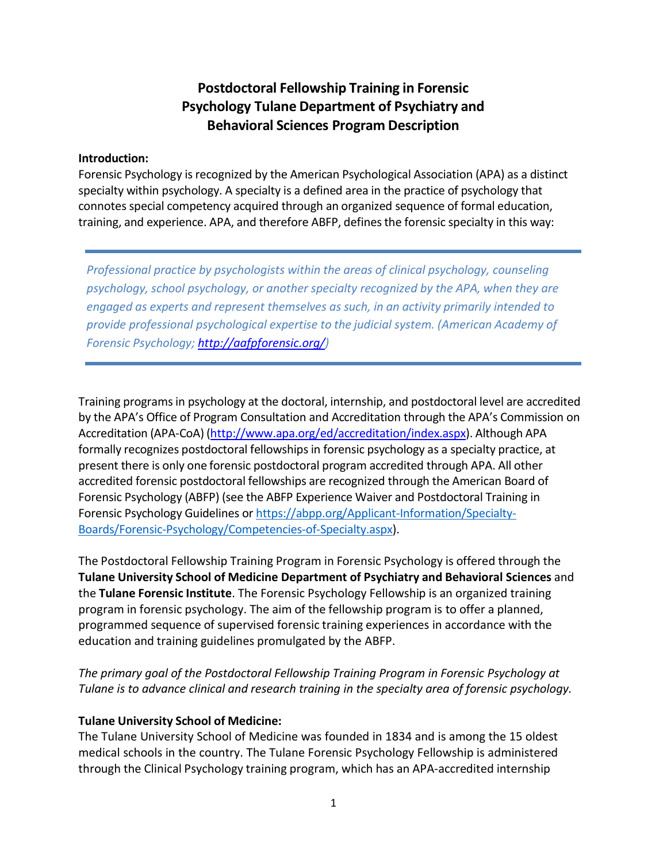# **Postdoctoral Fellowship Training in Forensic Psychology Tulane Department of Psychiatry and Behavioral Sciences Program Description**

#### **Introduction:**

Forensic Psychology is recognized by the American Psychological Association (APA) as a distinct specialty within psychology. A specialty is a defined area in the practice of psychology that connotesspecial competency acquired through an organized sequence of formal education, training, and experience. APA, and therefore ABFP, defines the forensic specialty in this way:

*Professional practice by psychologists within the areas of clinical psychology, counseling psychology, school psychology, or another specialty recognized by the APA, when they are engaged as experts and represent themselves as such, in an activity primarily intended to provide professional psychological expertise to the judicial system. (American Academy of Forensic Psychology; [http://aafpforensic.org/\)](http://aafpforensic.org/)*

Training programsin psychology at the doctoral, internship, and postdoctoral level are accredited by the APA's Office of Program Consultation and Accreditation through the APA's Commission on Accreditation (APA-CoA) [\(http://www.apa.org/ed/accreditation/index.aspx\)](http://www.apa.org/ed/accreditation/index.aspx). Although APA formally recognizes postdoctoral fellowships in forensic psychology as a specialty practice, at present there is only one forensic postdoctoral program accredited through APA. All other accredited forensic postdoctoral fellowships are recognized through the American Board of Forensic Psychology (ABFP) (see the ABFP Experience Waiver and Postdoctoral Training in Forensic Psychology Guidelines or [https://abpp.org/Applicant-Information/Specialty-](https://abpp.org/Applicant-Information/Specialty-Boards/Forensic-Psychology/Competencies-of-Specialty.aspx)[Boards/Forensic-Psychology/Competencies-of-Specialty.aspx\)](https://abpp.org/Applicant-Information/Specialty-Boards/Forensic-Psychology/Competencies-of-Specialty.aspx).

The Postdoctoral Fellowship Training Program in Forensic Psychology is offered through the **Tulane University School of Medicine Department of Psychiatry and Behavioral Sciences** and the **Tulane Forensic Institute**. The Forensic Psychology Fellowship is an organized training program in forensic psychology. The aim of the fellowship program is to offer a planned, programmed sequence of supervised forensic training experiences in accordance with the education and training guidelines promulgated by the ABFP.

*The primary goal of the Postdoctoral Fellowship Training Program in Forensic Psychology at Tulane is to advance clinical and research training in the specialty area of forensic psychology.*

#### **Tulane University School of Medicine:**

The Tulane University School of Medicine was founded in 1834 and is among the 15 oldest medical schools in the country. The Tulane Forensic Psychology Fellowship is administered through the Clinical Psychology training program, which has an APA-accredited internship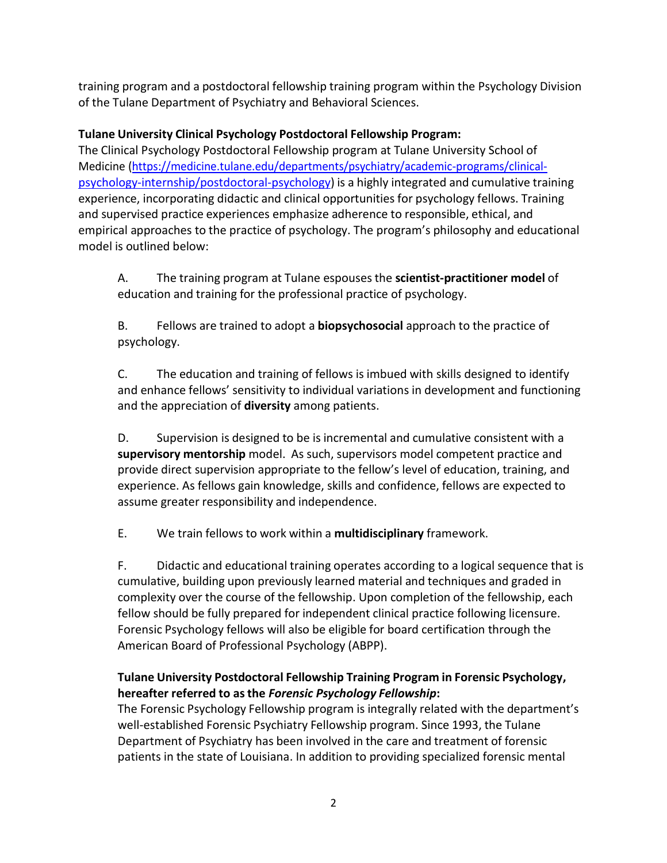training program and a postdoctoral fellowship training program within the Psychology Division of the Tulane Department of Psychiatry and Behavioral Sciences.

# **Tulane University Clinical Psychology Postdoctoral Fellowship Program:**

The Clinical Psychology Postdoctoral Fellowship program at Tulane University School of Medicine [\(https://medicine.tulane.edu/departments/psychiatry/academic-programs/clinical](https://medicine.tulane.edu/departments/psychiatry/academic-programs/clinical-psychology-internship/postdoctoral-psychology)[psychology-internship/postdoctoral-psychology\)](https://medicine.tulane.edu/departments/psychiatry/academic-programs/clinical-psychology-internship/postdoctoral-psychology) is a highly integrated and cumulative training experience, incorporating didactic and clinical opportunities for psychology fellows. Training and supervised practice experiences emphasize adherence to responsible, ethical, and empirical approaches to the practice of psychology. The program's philosophy and educational model is outlined below:

A. The training program at Tulane espousesthe **scientist-practitioner model** of education and training for the professional practice of psychology.

B. Fellows are trained to adopt a **biopsychosocial** approach to the practice of psychology.

C. The education and training of fellows is imbued with skills designed to identify and enhance fellows' sensitivity to individual variations in development and functioning and the appreciation of **diversity** among patients.

D. Supervision is designed to be is incremental and cumulative consistent with a **supervisory mentorship** model. As such, supervisors model competent practice and provide direct supervision appropriate to the fellow's level of education, training, and experience. As fellows gain knowledge, skills and confidence, fellows are expected to assume greater responsibility and independence.

E. We train fellows to work within a **multidisciplinary** framework.

F. Didactic and educational training operates according to a logical sequence that is cumulative, building upon previously learned material and techniques and graded in complexity over the course of the fellowship. Upon completion of the fellowship, each fellow should be fully prepared for independent clinical practice following licensure. Forensic Psychology fellows will also be eligible for board certification through the American Board of Professional Psychology (ABPP).

# **Tulane University Postdoctoral Fellowship Training Program in Forensic Psychology, hereafter referred to asthe** *Forensic Psychology Fellowship***:**

The Forensic Psychology Fellowship program is integrally related with the department's well-established Forensic Psychiatry Fellowship program. Since 1993, the Tulane Department of Psychiatry has been involved in the care and treatment of forensic patients in the state of Louisiana. In addition to providing specialized forensic mental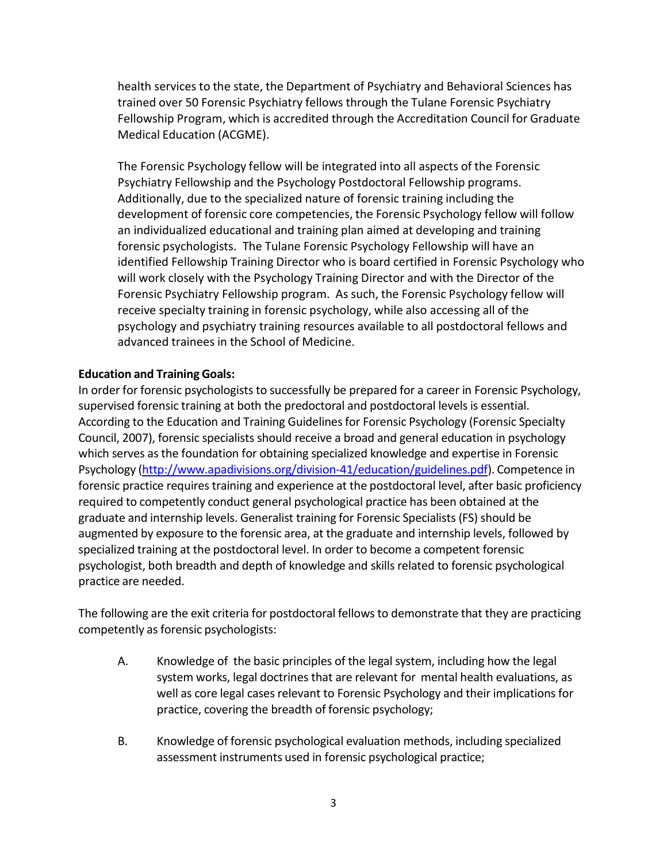health services to the state, the Department of Psychiatry and Behavioral Sciences has trained over 50 Forensic Psychiatry fellows through the Tulane Forensic Psychiatry Fellowship Program, which is accredited through the Accreditation Council for Graduate Medical Education (ACGME).

The Forensic Psychology fellow will be integrated into all aspects of the Forensic Psychiatry Fellowship and the Psychology Postdoctoral Fellowship programs. Additionally, due to the specialized nature of forensic training including the development of forensic core competencies, the Forensic Psychology fellow will follow an individualized educational and training plan aimed at developing and training forensic psychologists. The Tulane Forensic Psychology Fellowship will have an identified Fellowship Training Director who is board certified in Forensic Psychology who will work closely with the Psychology Training Director and with the Director of the Forensic Psychiatry Fellowship program. As such, the Forensic Psychology fellow will receive specialty training in forensic psychology, while also accessing all of the psychology and psychiatry training resources available to all postdoctoral fellows and advanced trainees in the School of Medicine.

#### **Education and Training Goals:**

In order for forensic psychologists to successfully be prepared for a career in Forensic Psychology, supervised forensic training at both the predoctoral and postdoctoral levels is essential. According to the Education and Training Guidelines for Forensic Psychology (Forensic Specialty Council, 2007), forensic specialists should receive a broad and general education in psychology which serves as the foundation for obtaining specialized knowledge and expertise in Forensic Psychology [\(http://www.apadivisions.org/division-41/education/guidelines.pdf\)](http://www.apadivisions.org/division-41/education/guidelines.pdf). Competence in forensic practice requires training and experience at the postdoctoral level, after basic proficiency required to competently conduct general psychological practice has been obtained at the graduate and internship levels. Generalist training for Forensic Specialists (FS) should be augmented by exposure to the forensic area, at the graduate and internship levels, followed by specialized training at the postdoctoral level. In order to become a competent forensic psychologist, both breadth and depth of knowledge and skillsrelated to forensic psychological practice are needed.

The following are the exit criteria for postdoctoral fellows to demonstrate that they are practicing competently as forensic psychologists:

- A. Knowledge of the basic principles of the legal system, including how the legal system works, legal doctrines that are relevant for mental health evaluations, as well as core legal cases relevant to Forensic Psychology and their implications for practice, covering the breadth of forensic psychology;
- B. Knowledge of forensic psychological evaluation methods, including specialized assessment instruments used in forensic psychological practice;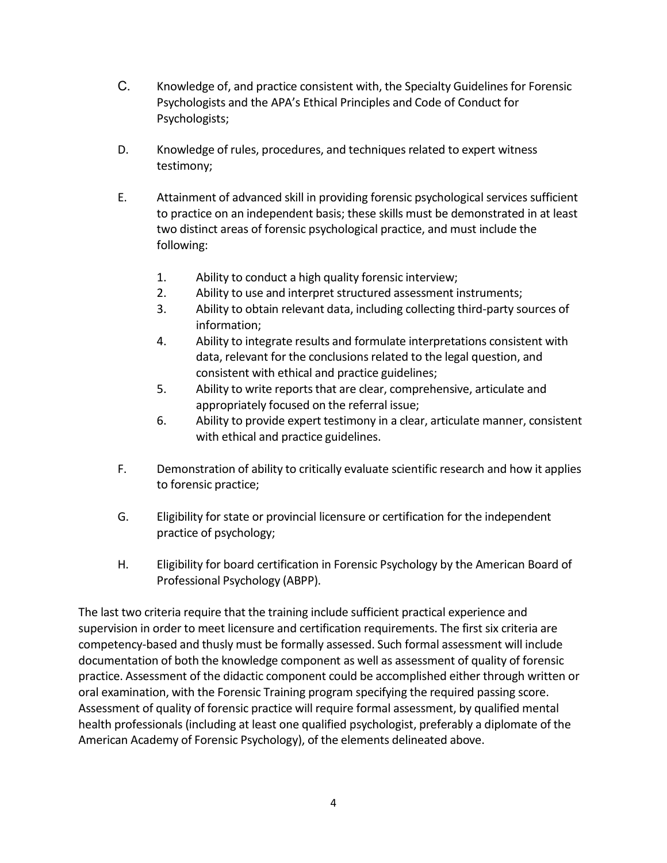- C. Knowledge of, and practice consistent with, the Specialty Guidelines for Forensic Psychologists and the APA's Ethical Principles and Code of Conduct for Psychologists;
- D. Knowledge of rules, procedures, and techniques related to expert witness testimony;
- E. Attainment of advanced skill in providing forensic psychological services sufficient to practice on an independent basis; these skills must be demonstrated in at least two distinct areas of forensic psychological practice, and must include the following:
	- 1. Ability to conduct a high quality forensic interview;
	- 2. Ability to use and interpret structured assessment instruments;
	- 3. Ability to obtain relevant data, including collecting third-party sources of information;
	- 4. Ability to integrate results and formulate interpretations consistent with data, relevant for the conclusions related to the legal question, and consistent with ethical and practice guidelines;
	- 5. Ability to write reports that are clear, comprehensive, articulate and appropriately focused on the referral issue;
	- 6. Ability to provide expert testimony in a clear, articulate manner, consistent with ethical and practice guidelines.
- F. Demonstration of ability to critically evaluate scientific research and how it applies to forensic practice;
- G. Eligibility for state or provincial licensure or certification for the independent practice of psychology;
- H. Eligibility for board certification in Forensic Psychology by the American Board of Professional Psychology (ABPP).

The last two criteria require that the training include sufficient practical experience and supervision in order to meet licensure and certification requirements. The first six criteria are competency-based and thusly must be formally assessed. Such formal assessment will include documentation of both the knowledge component as well as assessment of quality of forensic practice. Assessment of the didactic component could be accomplished either through written or oral examination, with the Forensic Training program specifying the required passing score. Assessment of quality of forensic practice will require formal assessment, by qualified mental health professionals (including at least one qualified psychologist, preferably a diplomate of the American Academy of Forensic Psychology), of the elements delineated above.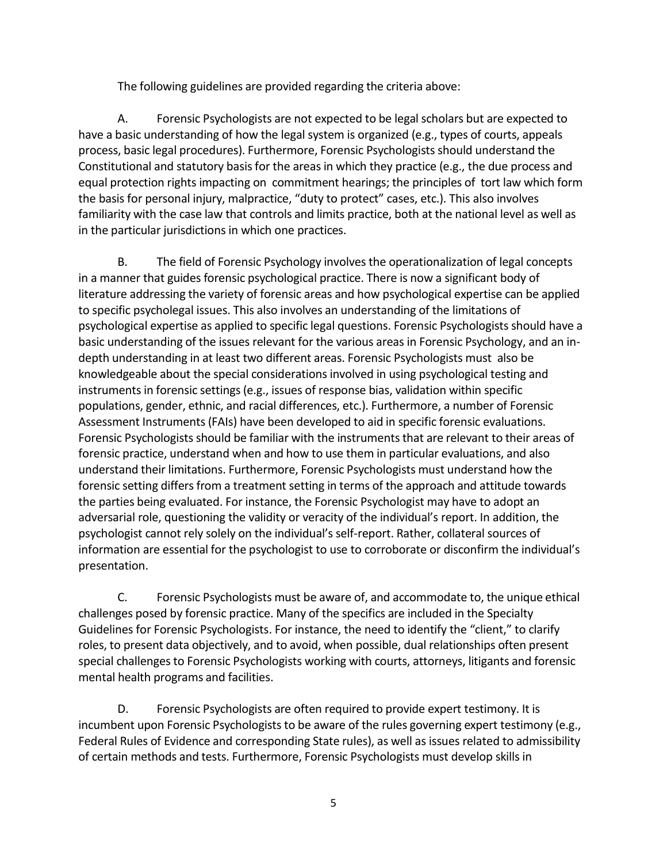The following guidelines are provided regarding the criteria above:

A. Forensic Psychologists are not expected to be legal scholars but are expected to have a basic understanding of how the legal system is organized (e.g., types of courts, appeals process, basic legal procedures). Furthermore, Forensic Psychologists should understand the Constitutional and statutory basisfor the areas in which they practice (e.g., the due process and equal protection rights impacting on commitment hearings; the principles of tort law which form the basis for personal injury, malpractice, "duty to protect" cases, etc.). This also involves familiarity with the case law that controls and limits practice, both at the national level as well as in the particular jurisdictions in which one practices.

B. The field of Forensic Psychology involvesthe operationalization of legal concepts in a manner that guides forensic psychological practice. There is now a significant body of literature addressing the variety of forensic areas and how psychological expertise can be applied to specific psycholegal issues. This also involves an understanding of the limitations of psychological expertise as applied to specific legal questions. Forensic Psychologists should have a basic understanding of the issues relevant for the various areas in Forensic Psychology, and an indepth understanding in at least two different areas. Forensic Psychologists must also be knowledgeable about the special considerationsinvolved in using psychological testing and instruments in forensic settings (e.g., issues of response bias, validation within specific populations, gender, ethnic, and racial differences, etc.). Furthermore, a number of Forensic Assessment Instruments(FAIs) have been developed to aid in specific forensic evaluations. Forensic Psychologists should be familiar with the instruments that are relevant to their areas of forensic practice, understand when and how to use them in particular evaluations, and also understand their limitations. Furthermore, Forensic Psychologists must understand how the forensic setting differs from a treatment setting in terms of the approach and attitude towards the parties being evaluated. For instance, the Forensic Psychologist may have to adopt an adversarial role, questioning the validity or veracity of the individual's report. In addition, the psychologist cannot rely solely on the individual's self-report. Rather, collateral sources of information are essential for the psychologist to use to corroborate or disconfirm the individual's presentation.

C. Forensic Psychologists must be aware of, and accommodate to, the unique ethical challenges posed by forensic practice. Many of the specifics are included in the Specialty Guidelines for Forensic Psychologists. For instance, the need to identify the "client," to clarify roles, to present data objectively, and to avoid, when possible, dual relationships often present special challenges to Forensic Psychologists working with courts, attorneys, litigants and forensic mental health programs and facilities.

D. Forensic Psychologists are often required to provide expert testimony. It is incumbent upon Forensic Psychologists to be aware of the rules governing expert testimony (e.g., Federal Rules of Evidence and corresponding State rules), as well as issues related to admissibility of certain methods and tests. Furthermore, Forensic Psychologists must develop skillsin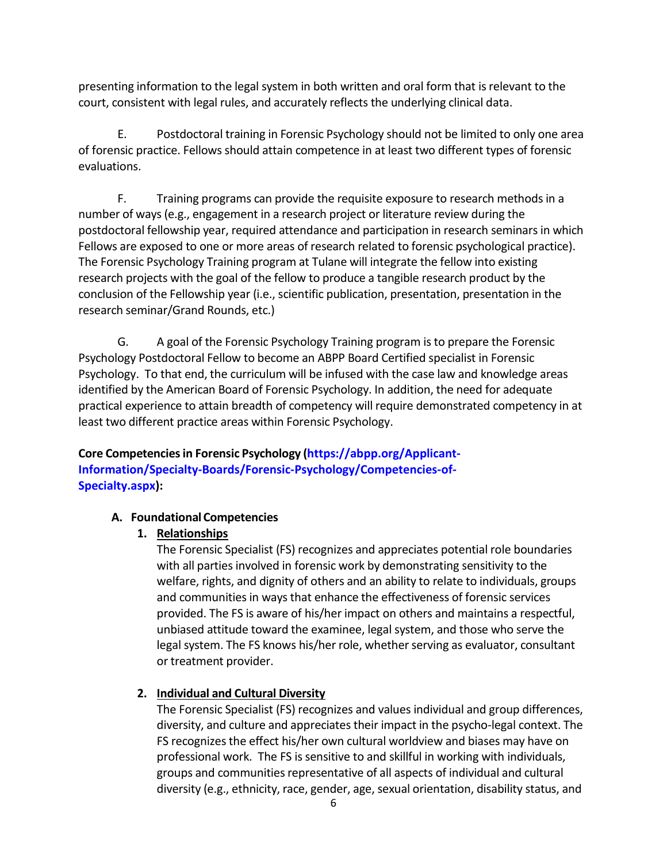presenting information to the legal system in both written and oral form that isrelevant to the court, consistent with legal rules, and accurately reflects the underlying clinical data.

E. Postdoctoral training in Forensic Psychology should not be limited to only one area of forensic practice. Fellows should attain competence in at least two different types of forensic evaluations.

F. Training programs can provide the requisite exposure to research methodsin a number of ways(e.g., engagement in a research project or literature review during the postdoctoral fellowship year, required attendance and participation in research seminarsin which Fellows are exposed to one or more areas of research related to forensic psychological practice). The Forensic Psychology Training program at Tulane will integrate the fellow into existing research projects with the goal of the fellow to produce a tangible research product by the conclusion of the Fellowship year (i.e., scientific publication, presentation, presentation in the research seminar/Grand Rounds, etc.)

G. A goal of the Forensic Psychology Training program isto prepare the Forensic Psychology Postdoctoral Fellow to become an ABPP Board Certified specialist in Forensic Psychology. To that end, the curriculum will be infused with the case law and knowledge areas identified by the American Board of Forensic Psychology. In addition, the need for adequate practical experience to attain breadth of competency will require demonstrated competency in at least two different practice areas within Forensic Psychology.

**Core Competencies in Forensic Psychology (https://abpp.org/Applicant-Information/Specialty-Boards/Forensic-Psychology/Competencies-of-Specialty.aspx):**

### **A. Foundational Competencies**

### **1. Relationships**

The Forensic Specialist (FS) recognizes and appreciates potential role boundaries with all parties involved in forensic work by demonstrating sensitivity to the welfare, rights, and dignity of others and an ability to relate to individuals, groups and communities in ways that enhance the effectiveness of forensic services provided. The FS is aware of his/her impact on others and maintains a respectful, unbiased attitude toward the examinee, legal system, and those who serve the legal system. The FS knows his/her role, whether serving as evaluator, consultant or treatment provider.

### **2. Individual and Cultural Diversity**

The Forensic Specialist (FS) recognizes and values individual and group differences, diversity, and culture and appreciates their impact in the psycho-legal context. The FS recognizesthe effect his/her own cultural worldview and biases may have on professional work. The FS is sensitive to and skillful in working with individuals, groups and communities representative of all aspects of individual and cultural diversity (e.g., ethnicity, race, gender, age, sexual orientation, disability status, and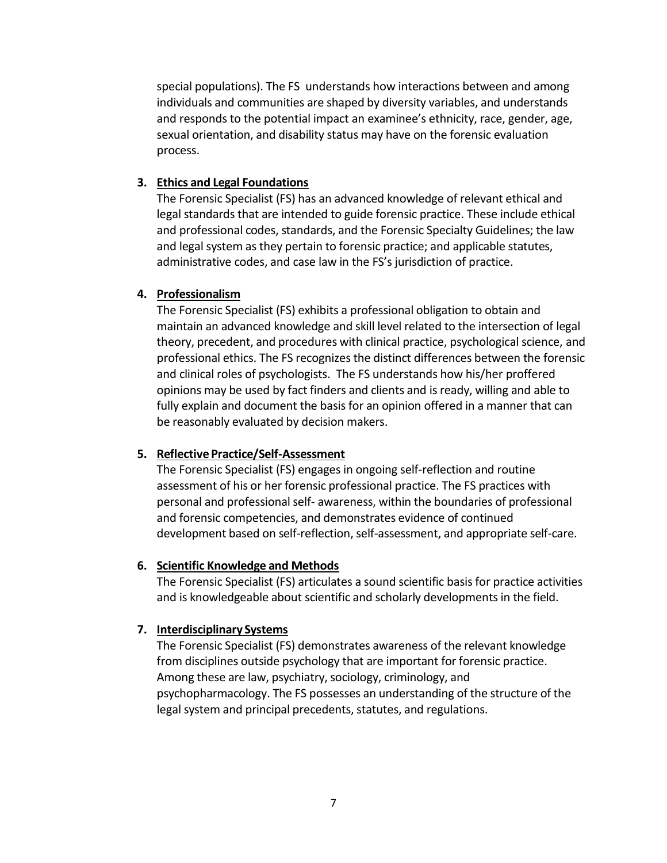special populations). The FS understands how interactions between and among individuals and communities are shaped by diversity variables, and understands and responds to the potential impact an examinee's ethnicity, race, gender, age, sexual orientation, and disability status may have on the forensic evaluation process.

### **3. Ethics and Legal Foundations**

The Forensic Specialist (FS) has an advanced knowledge of relevant ethical and legal standards that are intended to guide forensic practice. These include ethical and professional codes, standards, and the Forensic Specialty Guidelines; the law and legal system as they pertain to forensic practice; and applicable statutes, administrative codes, and case law in the FS's jurisdiction of practice.

# **4. Professionalism**

The Forensic Specialist (FS) exhibits a professional obligation to obtain and maintain an advanced knowledge and skill level related to the intersection of legal theory, precedent, and procedures with clinical practice, psychological science, and professional ethics. The FS recognizesthe distinct differences between the forensic and clinical roles of psychologists. The FS understands how his/her proffered opinions may be used by fact finders and clients and is ready, willing and able to fully explain and document the basis for an opinion offered in a manner that can be reasonably evaluated by decision makers.

### **5. Reflective Practice/Self-Assessment**

The Forensic Specialist (FS) engages in ongoing self-reflection and routine assessment of his or her forensic professional practice. The FS practices with personal and professional self- awareness, within the boundaries of professional and forensic competencies, and demonstrates evidence of continued development based on self-reflection, self-assessment, and appropriate self-care.

### **6. Scientific Knowledge and Methods**

The Forensic Specialist (FS) articulates a sound scientific basisfor practice activities and is knowledgeable about scientific and scholarly developments in the field.

# **7. Interdisciplinary Systems**

The Forensic Specialist (FS) demonstrates awareness of the relevant knowledge from disciplines outside psychology that are important for forensic practice. Among these are law, psychiatry, sociology, criminology, and psychopharmacology. The FS possesses an understanding of the structure of the legal system and principal precedents, statutes, and regulations.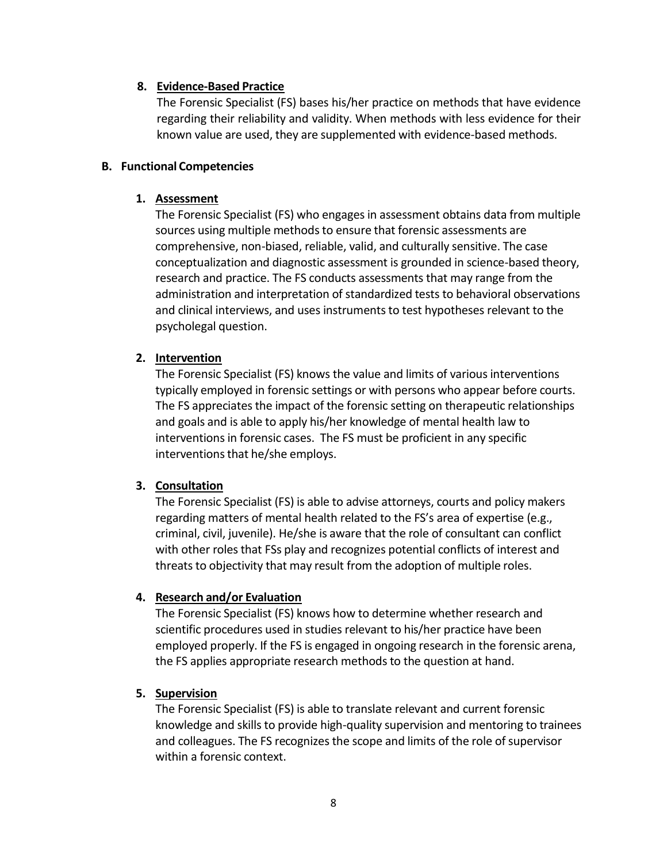#### **8. Evidence-Based Practice**

The Forensic Specialist (FS) bases his/her practice on methods that have evidence regarding their reliability and validity. When methods with less evidence for their known value are used, they are supplemented with evidence-based methods.

#### **B. Functional Competencies**

### **1. Assessment**

The Forensic Specialist (FS) who engagesin assessment obtains data from multiple sources using multiple methods to ensure that forensic assessments are comprehensive, non-biased, reliable, valid, and culturally sensitive. The case conceptualization and diagnostic assessment is grounded in science-based theory, research and practice. The FS conducts assessments that may range from the administration and interpretation of standardized tests to behavioral observations and clinical interviews, and uses instrumentsto test hypotheses relevant to the psycholegal question.

### **2. Intervention**

The Forensic Specialist (FS) knows the value and limits of various interventions typically employed in forensic settings or with persons who appear before courts. The FS appreciates the impact of the forensic setting on therapeutic relationships and goals and is able to apply his/her knowledge of mental health law to interventions in forensic cases. The FS must be proficient in any specific interventions that he/she employs.

### **3. Consultation**

The Forensic Specialist (FS) is able to advise attorneys, courts and policy makers regarding matters of mental health related to the FS's area of expertise (e.g., criminal, civil, juvenile). He/she is aware that the role of consultant can conflict with other roles that FSs play and recognizes potential conflicts of interest and threats to objectivity that may result from the adoption of multiple roles.

### **4. Research and/or Evaluation**

The Forensic Specialist (FS) knows how to determine whether research and scientific procedures used in studies relevant to his/her practice have been employed properly. If the FS is engaged in ongoing research in the forensic arena, the FS applies appropriate research methods to the question at hand.

### **5. Supervision**

The Forensic Specialist (FS) is able to translate relevant and current forensic knowledge and skills to provide high-quality supervision and mentoring to trainees and colleagues. The FS recognizes the scope and limits of the role of supervisor within a forensic context.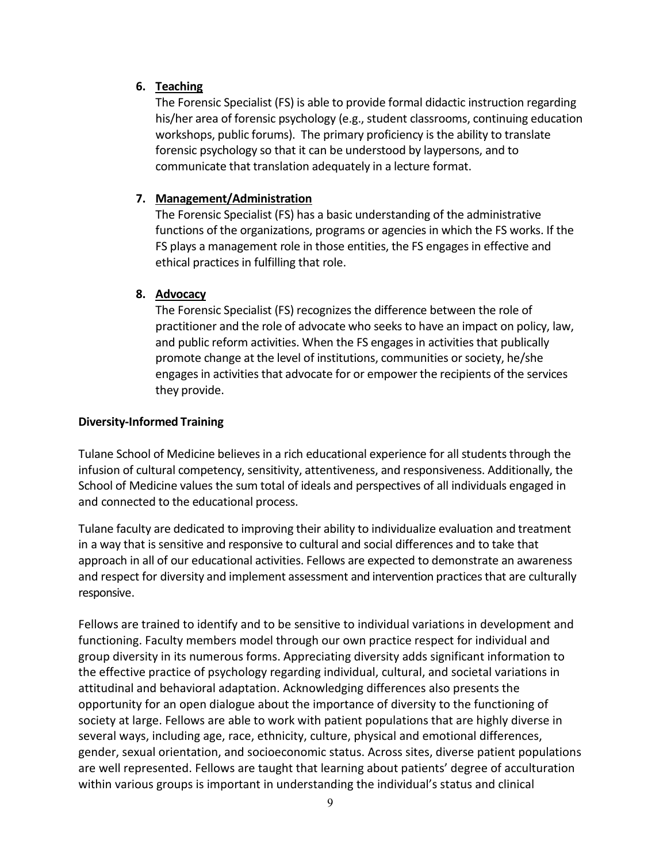# **6. Teaching**

The Forensic Specialist (FS) is able to provide formal didactic instruction regarding his/her area of forensic psychology (e.g., student classrooms, continuing education workshops, public forums). The primary proficiency is the ability to translate forensic psychology so that it can be understood by laypersons, and to communicate that translation adequately in a lecture format.

# **7. Management/Administration**

The Forensic Specialist (FS) has a basic understanding of the administrative functions of the organizations, programs or agencies in which the FS works. If the FS plays a management role in those entities, the FS engages in effective and ethical practices in fulfilling that role.

# **8. Advocacy**

The Forensic Specialist (FS) recognizesthe difference between the role of practitioner and the role of advocate who seeks to have an impact on policy, law, and public reform activities. When the FS engages in activities that publically promote change at the level of institutions, communities or society, he/she engages in activities that advocate for or empower the recipients of the services they provide.

# **Diversity-Informed Training**

Tulane School of Medicine believes in a rich educational experience for all students through the infusion of cultural competency, sensitivity, attentiveness, and responsiveness. Additionally, the School of Medicine values the sum total of ideals and perspectives of all individuals engaged in and connected to the educational process.

Tulane faculty are dedicated to improving their ability to individualize evaluation and treatment in a way that is sensitive and responsive to cultural and social differences and to take that approach in all of our educational activities. Fellows are expected to demonstrate an awareness and respect for diversity and implement assessment and intervention practices that are culturally responsive.

Fellows are trained to identify and to be sensitive to individual variations in development and functioning. Faculty members model through our own practice respect for individual and group diversity in its numerous forms. Appreciating diversity adds significant information to the effective practice of psychology regarding individual, cultural, and societal variations in attitudinal and behavioral adaptation. Acknowledging differences also presents the opportunity for an open dialogue about the importance of diversity to the functioning of society at large. Fellows are able to work with patient populations that are highly diverse in several ways, including age, race, ethnicity, culture, physical and emotional differences, gender, sexual orientation, and socioeconomic status. Across sites, diverse patient populations are well represented. Fellows are taught that learning about patients' degree of acculturation within various groups is important in understanding the individual's status and clinical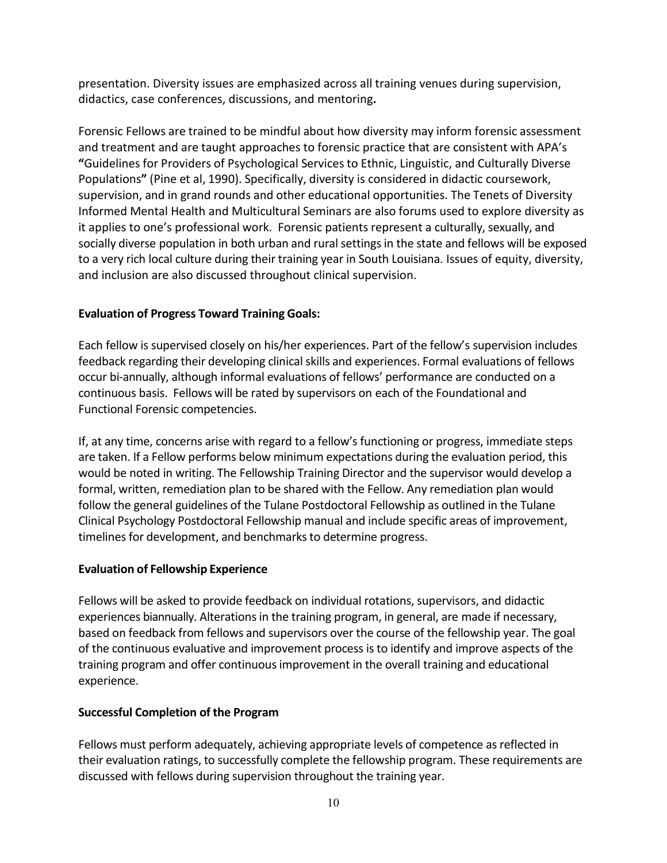presentation. Diversity issues are emphasized across all training venues during supervision, didactics, case conferences, discussions, and mentoring**.**

Forensic Fellows are trained to be mindful about how diversity may inform forensic assessment and treatment and are taught approaches to forensic practice that are consistent with APA's **"**Guidelines for Providers of Psychological Services to Ethnic, Linguistic, and Culturally Diverse Populations**"** (Pine et al, 1990). Specifically, diversity is considered in didactic coursework, supervision, and in grand rounds and other educational opportunities. The Tenets of Diversity Informed Mental Health and Multicultural Seminars are also forums used to explore diversity as it applies to one's professional work. Forensic patients represent a culturally, sexually, and socially diverse population in both urban and rural settings in the state and fellows will be exposed to a very rich local culture during their training year in South Louisiana. Issues of equity, diversity, and inclusion are also discussed throughout clinical supervision.

### **Evaluation of Progress Toward Training Goals:**

Each fellow is supervised closely on his/her experiences. Part of the fellow's supervision includes feedback regarding their developing clinical skills and experiences. Formal evaluations of fellows occur bi-annually, although informal evaluations of fellows' performance are conducted on a continuous basis. Fellows will be rated by supervisors on each of the Foundational and Functional Forensic competencies.

If, at any time, concerns arise with regard to a fellow's functioning or progress, immediate steps are taken. If a Fellow performs below minimum expectations during the evaluation period, this would be noted in writing. The Fellowship Training Director and the supervisor would develop a formal, written, remediation plan to be shared with the Fellow. Any remediation plan would follow the general guidelines of the Tulane Postdoctoral Fellowship as outlined in the Tulane Clinical Psychology Postdoctoral Fellowship manual and include specific areas of improvement, timelines for development, and benchmarks to determine progress.

#### **Evaluation of Fellowship Experience**

Fellows will be asked to provide feedback on individual rotations, supervisors, and didactic experiences biannually. Alterations in the training program, in general, are made if necessary, based on feedback from fellows and supervisors over the course of the fellowship year. The goal of the continuous evaluative and improvement process is to identify and improve aspects of the training program and offer continuousimprovement in the overall training and educational experience.

### **Successful Completion of the Program**

Fellows must perform adequately, achieving appropriate levels of competence as reflected in their evaluation ratings, to successfully complete the fellowship program. These requirements are discussed with fellows during supervision throughout the training year.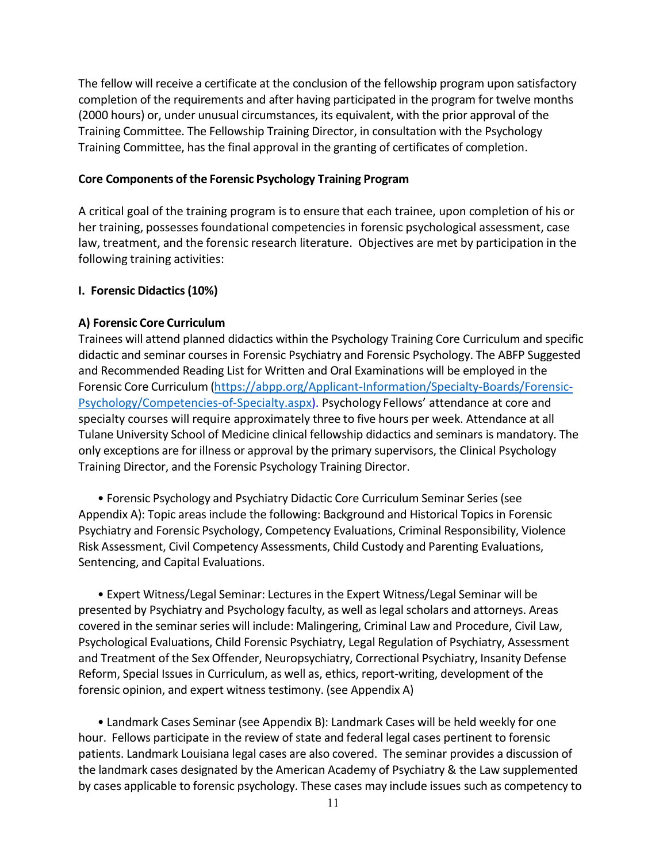The fellow will receive a certificate at the conclusion of the fellowship program upon satisfactory completion of the requirements and after having participated in the program for twelve months (2000 hours) or, under unusual circumstances, its equivalent, with the prior approval of the Training Committee. The Fellowship Training Director, in consultation with the Psychology Training Committee, has the final approval in the granting of certificates of completion.

#### **Core Components of the Forensic Psychology Training Program**

A critical goal of the training program is to ensure that each trainee, upon completion of his or her training, possesses foundational competencies in forensic psychological assessment, case law, treatment, and the forensic research literature. Objectives are met by participation in the following training activities:

#### **I. Forensic Didactics(10%)**

### **A) Forensic Core Curriculum**

Trainees will attend planned didactics within the Psychology Training Core Curriculum and specific didactic and seminar courses in Forensic Psychiatry and Forensic Psychology. The ABFP Suggested and Recommended Reading List for Written and Oral Examinations will be employed in the Forensic Core Curriculum [\(https://abpp.org/Applicant-Information/Specialty-Boards/Forensic-](https://abpp.org/Applicant-Information/Specialty-Boards/Forensic-Psychology/Competencies-of-Specialty.aspx)[Psychology/Competencies-of-Specialty.aspx\)](https://abpp.org/Applicant-Information/Specialty-Boards/Forensic-Psychology/Competencies-of-Specialty.aspx). Psychology Fellows' attendance at core and specialty courses will require approximately three to five hours per week. Attendance at all Tulane University School of Medicine clinical fellowship didactics and seminars is mandatory. The only exceptions are for illness or approval by the primary supervisors, the Clinical Psychology Training Director, and the Forensic Psychology Training Director.

• Forensic Psychology and Psychiatry Didactic Core Curriculum Seminar Series (see Appendix A): Topic areas include the following: Background and Historical Topics in Forensic Psychiatry and Forensic Psychology, Competency Evaluations, Criminal Responsibility, Violence Risk Assessment, Civil Competency Assessments, Child Custody and Parenting Evaluations, Sentencing, and Capital Evaluations.

• Expert Witness/Legal Seminar: Lecturesin the Expert Witness/Legal Seminar will be presented by Psychiatry and Psychology faculty, as well aslegal scholars and attorneys. Areas covered in the seminar series will include: Malingering, Criminal Law and Procedure, Civil Law, Psychological Evaluations, Child Forensic Psychiatry, Legal Regulation of Psychiatry, Assessment and Treatment of the Sex Offender, Neuropsychiatry, Correctional Psychiatry, Insanity Defense Reform, Special Issues in Curriculum, as well as, ethics, report-writing, development of the forensic opinion, and expert witness testimony. (see Appendix A)

• Landmark Cases Seminar (see Appendix B): Landmark Cases will be held weekly for one hour. Fellows participate in the review of state and federal legal cases pertinent to forensic patients. Landmark Louisiana legal cases are also covered. The seminar provides a discussion of the landmark cases designated by the American Academy of Psychiatry & the Law supplemented by cases applicable to forensic psychology. These cases may include issues such as competency to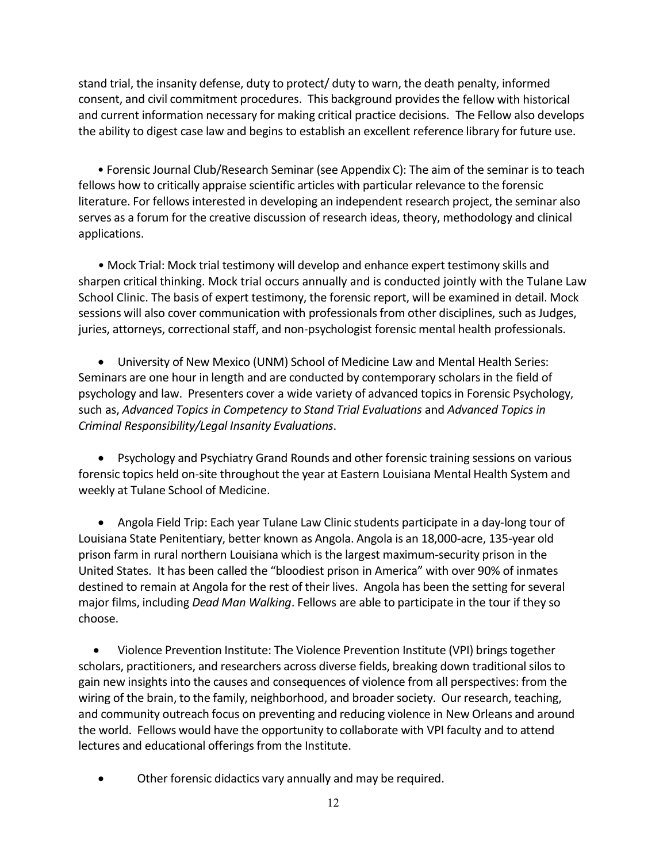stand trial, the insanity defense, duty to protect/ duty to warn, the death penalty, informed consent, and civil commitment procedures. This background providesthe fellow with historical and current information necessary for making critical practice decisions. The Fellow also develops the ability to digest case law and begins to establish an excellent reference library for future use.

• Forensic Journal Club/Research Seminar (see Appendix C): The aim of the seminar is to teach fellows how to critically appraise scientific articles with particular relevance to the forensic literature. For fellows interested in developing an independent research project, the seminar also serves as a forum for the creative discussion of research ideas, theory, methodology and clinical applications.

• Mock Trial: Mock trial testimony will develop and enhance expert testimony skills and sharpen critical thinking. Mock trial occurs annually and is conducted jointly with the Tulane Law School Clinic. The basis of expert testimony, the forensic report, will be examined in detail. Mock sessions will also cover communication with professionals from other disciplines, such as Judges, juries, attorneys, correctional staff, and non-psychologist forensic mental health professionals.

• University of New Mexico (UNM) School of Medicine Law and Mental Health Series: Seminars are one hour in length and are conducted by contemporary scholars in the field of psychology and law. Presenters cover a wide variety of advanced topics in Forensic Psychology, such as, *Advanced Topics in Competency to Stand Trial Evaluations* and *Advanced Topics in Criminal Responsibility/Legal Insanity Evaluations*.

• Psychology and Psychiatry Grand Rounds and other forensic training sessions on various forensic topics held on-site throughout the year at Eastern Louisiana Mental Health System and weekly at Tulane School of Medicine.

• Angola Field Trip: Each year Tulane Law Clinic students participate in a day-long tour of Louisiana State Penitentiary, better known as Angola. Angola is an 18,000-acre, 135-year old prison farm in rural northern Louisiana which is the largest maximum-security prison in the United States. It has been called the "bloodiest prison in America" with over 90% of inmates destined to remain at Angola for the rest of their lives. Angola has been the setting for several major films, including *Dead Man Walking*. Fellows are able to participate in the tour if they so choose.

• Violence Prevention Institute: The Violence Prevention Institute (VPI) brings together scholars, practitioners, and researchers across diverse fields, breaking down traditionalsilosto gain new insights into the causes and consequences of violence from all perspectives: from the wiring of the brain, to the family, neighborhood, and broader society. Our research, teaching, and community outreach focus on preventing and reducing violence in New Orleans and around the world. Fellows would have the opportunity to collaborate with VPI faculty and to attend lectures and educational offerings from the Institute.

Other forensic didactics vary annually and may be required.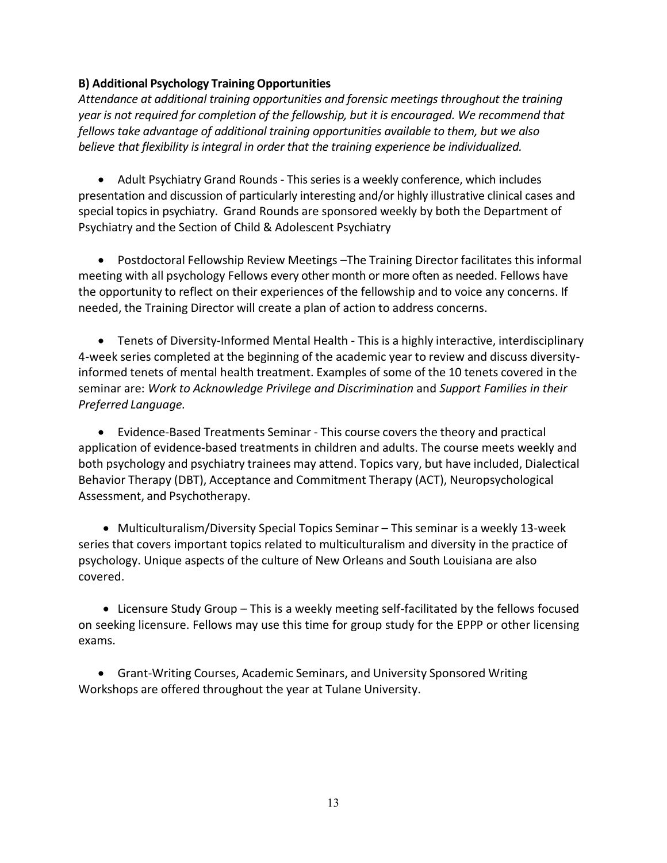### **B) Additional Psychology TrainingOpportunities**

*Attendance at additional training opportunities and forensic meetings throughout the training year is not required for completion of the fellowship, but it is encouraged. We recommend that fellows take advantage of additional training opportunities available to them, but we also believe that flexibility isintegral in order that the training experience be individualized.*

• Adult Psychiatry Grand Rounds - This series is a weekly conference, which includes presentation and discussion of particularly interesting and/or highly illustrative clinical cases and special topics in psychiatry. Grand Rounds are sponsored weekly by both the Department of Psychiatry and the Section of Child & Adolescent Psychiatry

• Postdoctoral Fellowship Review Meetings –The Training Director facilitates this informal meeting with all psychology Fellows every other month or more often as needed. Fellows have the opportunity to reflect on their experiences of the fellowship and to voice any concerns. If needed, the Training Director will create a plan of action to address concerns.

• Tenets of Diversity-Informed Mental Health - This is a highly interactive, interdisciplinary 4-week series completed at the beginning of the academic year to review and discuss diversityinformed tenets of mental health treatment. Examples of some of the 10 tenets covered in the seminar are: *Work to Acknowledge Privilege and Discrimination* and *Support Families in their Preferred Language.*

• Evidence-Based Treatments Seminar - This course covers the theory and practical application of evidence-based treatments in children and adults. The course meets weekly and both psychology and psychiatry trainees may attend. Topics vary, but have included, Dialectical Behavior Therapy (DBT), Acceptance and Commitment Therapy (ACT), Neuropsychological Assessment, and Psychotherapy.

• Multiculturalism/Diversity Special Topics Seminar – This seminar is a weekly 13-week series that covers important topics related to multiculturalism and diversity in the practice of psychology. Unique aspects of the culture of New Orleans and South Louisiana are also covered.

• Licensure Study Group – This is a weekly meeting self-facilitated by the fellows focused on seeking licensure. Fellows may use this time for group study for the EPPP or other licensing exams.

• Grant-Writing Courses, Academic Seminars, and University Sponsored Writing Workshops are offered throughout the year at Tulane University.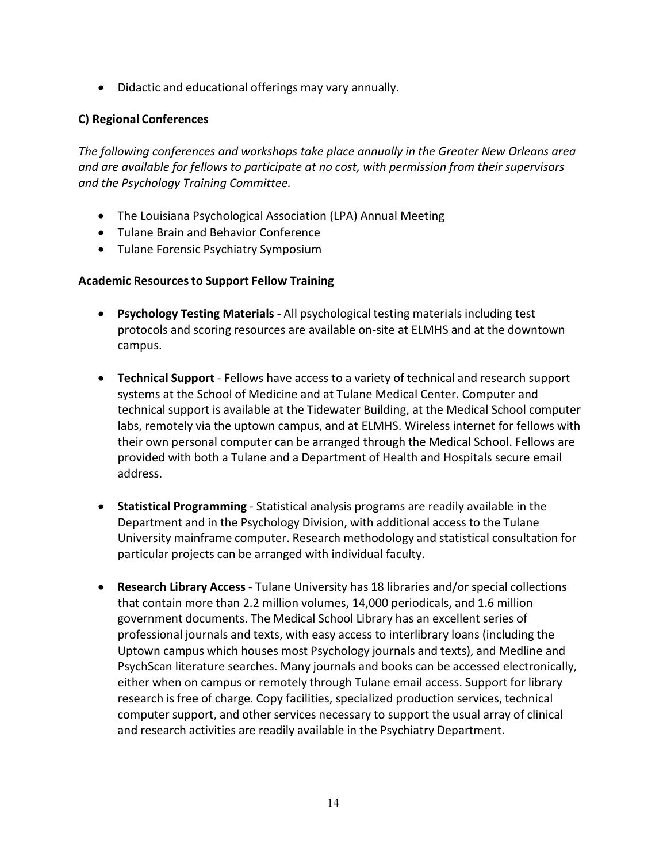• Didactic and educational offerings may vary annually.

### **C) Regional Conferences**

*The following conferences and workshops take place annually in the Greater New Orleans area and are available for fellows to participate at no cost, with permission from their supervisors and the Psychology Training Committee.*

- The Louisiana Psychological Association (LPA) Annual Meeting
- Tulane Brain and Behavior Conference
- Tulane Forensic Psychiatry Symposium

### **Academic Resources to Support Fellow Training**

- **Psychology Testing Materials** All psychological testing materials including test protocols and scoring resources are available on-site at ELMHS and at the downtown campus.
- **Technical Support** Fellows have access to a variety of technical and research support systems at the School of Medicine and at Tulane Medical Center. Computer and technical support is available at the Tidewater Building, at the Medical School computer labs, remotely via the uptown campus, and at ELMHS. Wireless internet for fellows with their own personal computer can be arranged through the Medical School. Fellows are provided with both a Tulane and a Department of Health and Hospitals secure email address.
- **Statistical Programming** Statistical analysis programs are readily available in the Department and in the Psychology Division, with additional access to the Tulane University mainframe computer. Research methodology and statistical consultation for particular projects can be arranged with individual faculty.
- **Research Library Access** Tulane University has 18 libraries and/or special collections that contain more than 2.2 million volumes, 14,000 periodicals, and 1.6 million government documents. The Medical School Library has an excellent series of professional journals and texts, with easy access to interlibrary loans (including the Uptown campus which houses most Psychology journals and texts), and Medline and PsychScan literature searches. Many journals and books can be accessed electronically, either when on campus or remotely through Tulane email access. Support for library research is free of charge. Copy facilities, specialized production services, technical computer support, and other services necessary to support the usual array of clinical and research activities are readily available in the Psychiatry Department.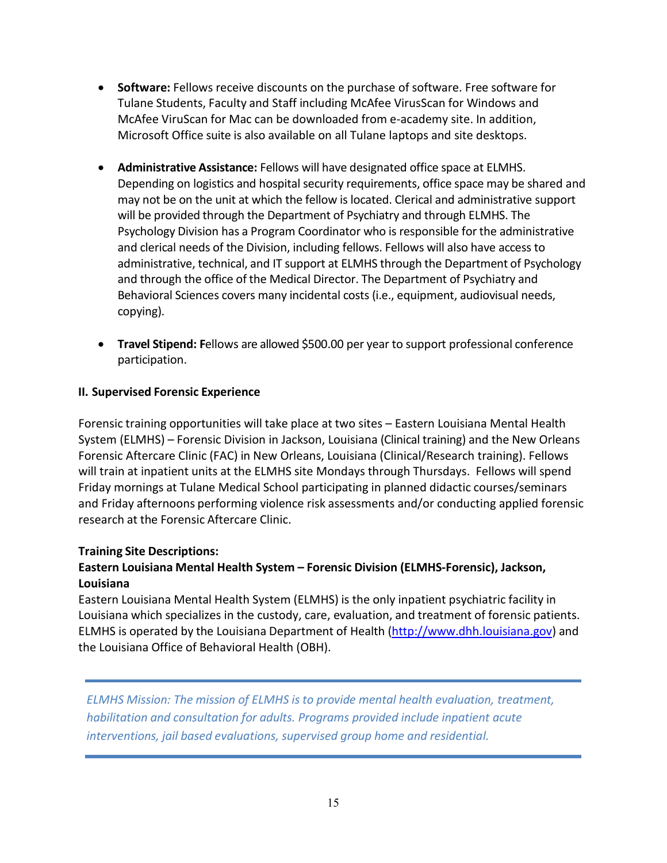- **Software:** Fellows receive discounts on the purchase of software. Free software for Tulane Students, Faculty and Staff including McAfee VirusScan for Windows and McAfee ViruScan for Mac can be downloaded from e-academy site. In addition, Microsoft Office suite is also available on all Tulane laptops and site desktops.
- **Administrative Assistance:** Fellows will have designated office space at ELMHS. Depending on logistics and hospital security requirements, office space may be shared and may not be on the unit at which the fellow is located. Clerical and administrative support will be provided through the Department of Psychiatry and through ELMHS. The Psychology Division has a Program Coordinator who is responsible for the administrative and clerical needs of the Division, including fellows. Fellows will also have access to administrative, technical, and IT support at ELMHS through the Department of Psychology and through the office of the Medical Director. The Department of Psychiatry and Behavioral Sciences covers many incidental costs (i.e., equipment, audiovisual needs, copying).
- **Travel Stipend: F**ellows are allowed \$500.00 per year to support professional conference participation.

### **II. Supervised Forensic Experience**

Forensic training opportunities will take place at two sites – Eastern Louisiana Mental Health System (ELMHS) – Forensic Division in Jackson, Louisiana (Clinical training) and the New Orleans Forensic Aftercare Clinic (FAC) in New Orleans, Louisiana (Clinical/Research training). Fellows will train at inpatient units at the ELMHS site Mondays through Thursdays. Fellows will spend Friday mornings at Tulane Medical School participating in planned didactic courses/seminars and Friday afternoons performing violence risk assessments and/or conducting applied forensic research at the Forensic Aftercare Clinic.

### **Training Site Descriptions:**

# **Eastern Louisiana Mental Health System – Forensic Division (ELMHS-Forensic), Jackson, Louisiana**

Eastern Louisiana Mental Health System (ELMHS) is the only inpatient psychiatric facility in Louisiana which specializes in the custody, care, evaluation, and treatment of forensic patients. ELMHS is operated by the Louisiana Department of Health [\(http://www.dhh.louisiana.gov\)](http://www.dhh.louisiana.gov/) and the Louisiana Office of Behavioral Health (OBH).

*ELMHS Mission: The mission of ELMHS is to provide mental health evaluation, treatment, habilitation and consultation for adults. Programs provided include inpatient acute interventions, jail based evaluations, supervised group home and residential.*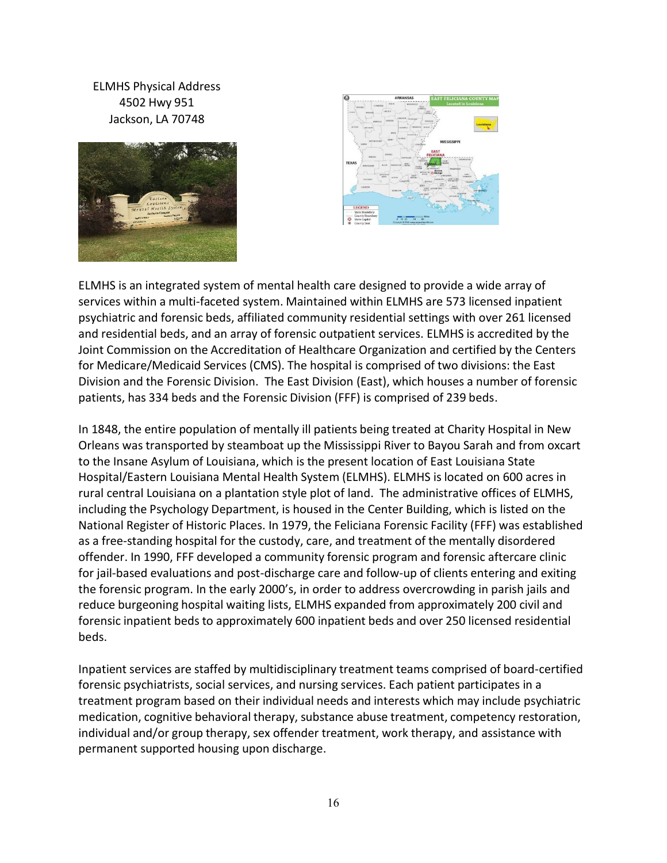ELMHS Physical Address 4502 Hwy 951 Jackson, LA 70748





ELMHS is an integrated system of mental health care designed to provide a wide array of services within a multi-faceted system. Maintained within ELMHS are 573 licensed inpatient psychiatric and forensic beds, affiliated community residential settings with over 261 licensed and residential beds, and an array of forensic outpatient services. ELMHS is accredited by the Joint Commission on the Accreditation of Healthcare Organization and certified by the Centers for Medicare/Medicaid Services (CMS). The hospital is comprised of two divisions: the East Division and the Forensic Division. The East Division (East), which houses a number of forensic patients, has 334 beds and the Forensic Division (FFF) is comprised of 239 beds.

In 1848, the entire population of mentally ill patients being treated at Charity Hospital in New Orleans was transported by steamboat up the Mississippi River to Bayou Sarah and from oxcart to the Insane Asylum of Louisiana, which is the present location of East Louisiana State Hospital/Eastern Louisiana Mental Health System (ELMHS). ELMHS is located on 600 acres in rural central Louisiana on a plantation style plot of land. The administrative offices of ELMHS, including the Psychology Department, is housed in the Center Building, which is listed on the National Register of Historic Places. In 1979, the Feliciana Forensic Facility (FFF) was established as a free-standing hospital for the custody, care, and treatment of the mentally disordered offender. In 1990, FFF developed a community forensic program and forensic aftercare clinic for jail-based evaluations and post-discharge care and follow-up of clients entering and exiting the forensic program. In the early 2000's, in order to address overcrowding in parish jails and reduce burgeoning hospital waiting lists, ELMHS expanded from approximately 200 civil and forensic inpatient beds to approximately 600 inpatient beds and over 250 licensed residential beds.

Inpatient services are staffed by multidisciplinary treatment teams comprised of board-certified forensic psychiatrists, social services, and nursing services. Each patient participates in a treatment program based on their individual needs and interests which may include psychiatric medication, cognitive behavioral therapy, substance abuse treatment, competency restoration, individual and/or group therapy, sex offender treatment, work therapy, and assistance with permanent supported housing upon discharge.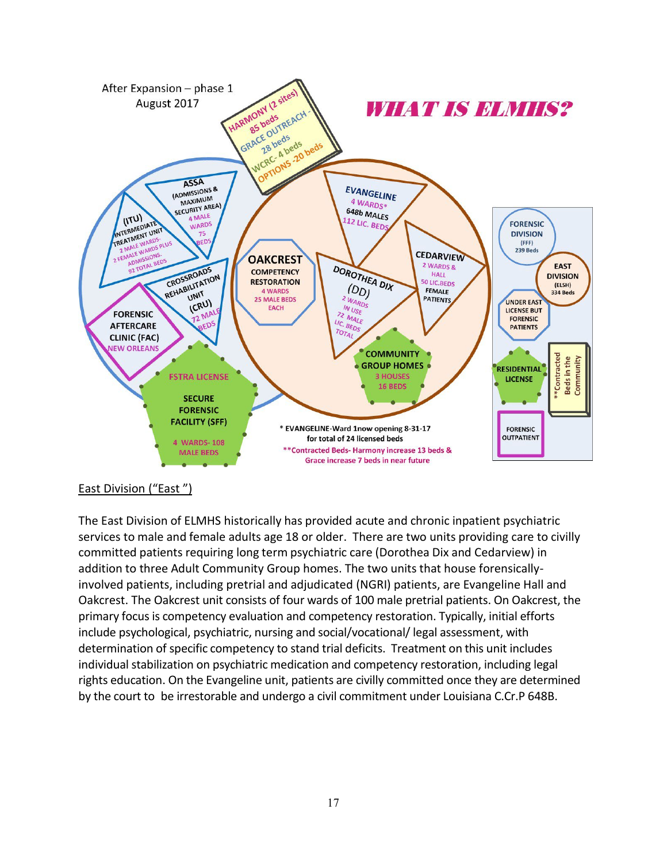

### East Division ("East ")

The East Division of ELMHS historically has provided acute and chronic inpatient psychiatric services to male and female adults age 18 or older. There are two units providing care to civilly committed patients requiring long term psychiatric care (Dorothea Dix and Cedarview) in addition to three Adult Community Group homes. The two units that house forensicallyinvolved patients, including pretrial and adjudicated (NGRI) patients, are Evangeline Hall and Oakcrest. The Oakcrest unit consists of four wards of 100 male pretrial patients. On Oakcrest, the primary focusis competency evaluation and competency restoration. Typically, initial efforts include psychological, psychiatric, nursing and social/vocational/ legal assessment, with determination of specific competency to stand trial deficits. Treatment on this unit includes individual stabilization on psychiatric medication and competency restoration, including legal rights education. On the Evangeline unit, patients are civilly committed once they are determined by the court to be irrestorable and undergo a civil commitment under Louisiana C.Cr.P 648B.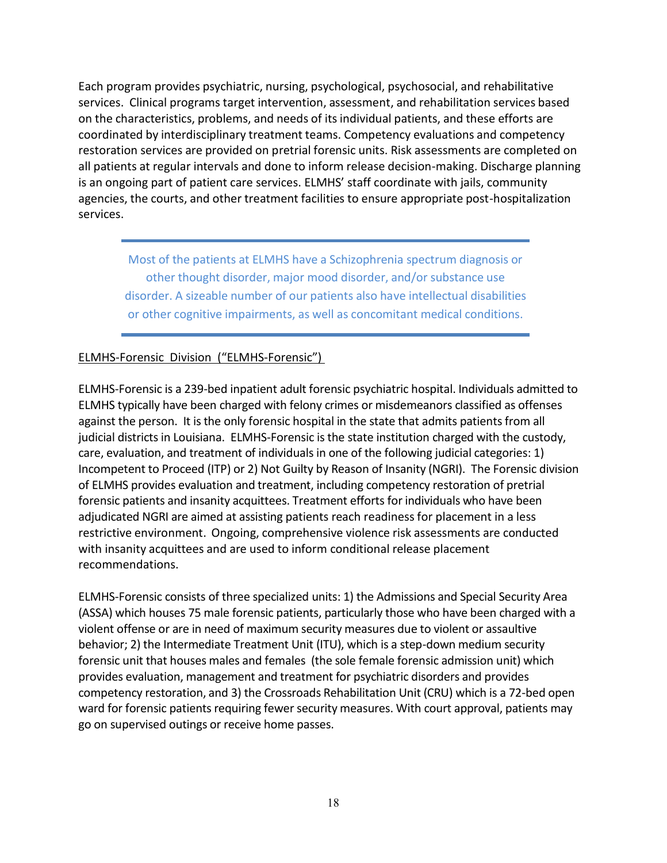Each program provides psychiatric, nursing, psychological, psychosocial, and rehabilitative services. Clinical programs target intervention, assessment, and rehabilitation services based on the characteristics, problems, and needs of itsindividual patients, and these efforts are coordinated by interdisciplinary treatment teams. Competency evaluations and competency restoration services are provided on pretrial forensic units. Risk assessments are completed on all patients at regular intervals and done to inform release decision-making. Discharge planning is an ongoing part of patient care services. ELMHS' staff coordinate with jails, community agencies, the courts, and other treatment facilities to ensure appropriate post-hospitalization services.

Most of the patients at ELMHS have a Schizophrenia spectrum diagnosis or other thought disorder, major mood disorder, and/or substance use disorder. A sizeable number of our patients also have intellectual disabilities or other cognitive impairments, as well as concomitant medical conditions.

### ELMHS-Forensic Division ("ELMHS-Forensic")

ELMHS-Forensic is a 239-bed inpatient adult forensic psychiatric hospital. Individuals admitted to ELMHS typically have been charged with felony crimes or misdemeanors classified as offenses against the person. It is the only forensic hospital in the state that admits patients from all judicial districts in Louisiana. ELMHS-Forensic is the state institution charged with the custody, care, evaluation, and treatment of individuals in one of the following judicial categories: 1) Incompetent to Proceed (ITP) or 2) Not Guilty by Reason of Insanity (NGRI). The Forensic division of ELMHS provides evaluation and treatment, including competency restoration of pretrial forensic patients and insanity acquittees. Treatment efforts for individuals who have been adjudicated NGRI are aimed at assisting patients reach readiness for placement in a less restrictive environment. Ongoing, comprehensive violence risk assessments are conducted with insanity acquittees and are used to inform conditional release placement recommendations.

ELMHS-Forensic consists of three specialized units: 1) the Admissions and Special Security Area (ASSA) which houses 75 male forensic patients, particularly those who have been charged with a violent offense or are in need of maximum security measures due to violent or assaultive behavior; 2) the Intermediate Treatment Unit (ITU), which is a step-down medium security forensic unit that houses males and females (the sole female forensic admission unit) which provides evaluation, management and treatment for psychiatric disorders and provides competency restoration, and 3) the Crossroads Rehabilitation Unit (CRU) which is a 72-bed open ward for forensic patients requiring fewer security measures. With court approval, patients may go on supervised outings or receive home passes.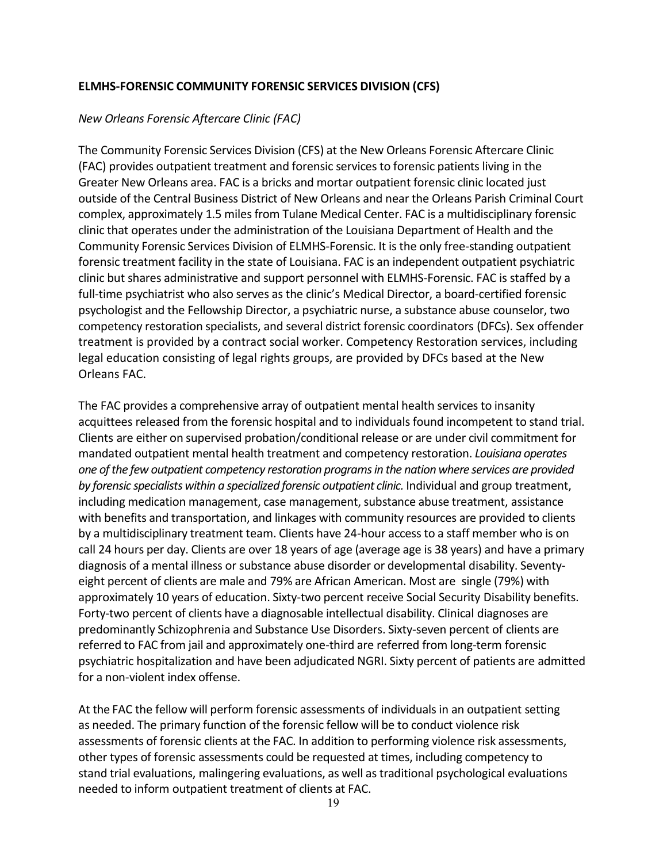### **ELMHS-FORENSIC COMMUNITY FORENSIC SERVICES DIVISION (CFS)**

### *New Orleans Forensic Aftercare Clinic (FAC)*

The Community Forensic Services Division (CFS) at the New Orleans Forensic Aftercare Clinic (FAC) provides outpatient treatment and forensic servicesto forensic patients living in the Greater New Orleans area. FAC is a bricks and mortar outpatient forensic clinic located just outside of the Central Business District of New Orleans and near the Orleans Parish Criminal Court complex, approximately 1.5 miles from Tulane Medical Center. FAC is a multidisciplinary forensic clinic that operates under the administration of the Louisiana Department of Health and the Community Forensic Services Division of ELMHS-Forensic. It isthe only free-standing outpatient forensic treatment facility in the state of Louisiana. FAC is an independent outpatient psychiatric clinic but shares administrative and support personnel with ELMHS-Forensic. FAC is staffed by a full-time psychiatrist who also serves as the clinic's Medical Director, a board-certified forensic psychologist and the Fellowship Director, a psychiatric nurse, a substance abuse counselor, two competency restoration specialists, and several district forensic coordinators (DFCs). Sex offender treatment is provided by a contract social worker. Competency Restoration services, including legal education consisting of legal rights groups, are provided by DFCs based at the New Orleans FAC.

The FAC provides a comprehensive array of outpatient mental health services to insanity acquittees released from the forensic hospital and to individuals found incompetent to stand trial. Clients are either on supervised probation/conditional release or are under civil commitment for mandated outpatient mental health treatment and competency restoration. *Louisiana operates one of the few outpatient competency restoration programs in the nation where services are provided by forensic specialists within a specialized forensic outpatient clinic.* Individual and group treatment, including medication management, case management, substance abuse treatment, assistance with benefits and transportation, and linkages with community resources are provided to clients by a multidisciplinary treatment team. Clients have 24-hour accessto a staff member who is on call 24 hours per day. Clients are over 18 years of age (average age is 38 years) and have a primary diagnosis of a mental illness or substance abuse disorder or developmental disability. Seventyeight percent of clients are male and 79% are African American. Most are single (79%) with approximately 10 years of education. Sixty-two percent receive Social Security Disability benefits. Forty-two percent of clients have a diagnosable intellectual disability. Clinical diagnoses are predominantly Schizophrenia and Substance Use Disorders. Sixty-seven percent of clients are referred to FAC from jail and approximately one-third are referred from long-term forensic psychiatric hospitalization and have been adjudicated NGRI. Sixty percent of patients are admitted for a non-violent index offense.

At the FAC the fellow will perform forensic assessments of individuals in an outpatient setting as needed. The primary function of the forensic fellow will be to conduct violence risk assessments of forensic clients at the FAC. In addition to performing violence risk assessments, other types of forensic assessments could be requested at times, including competency to stand trial evaluations, malingering evaluations, as well as traditional psychological evaluations needed to inform outpatient treatment of clients at FAC.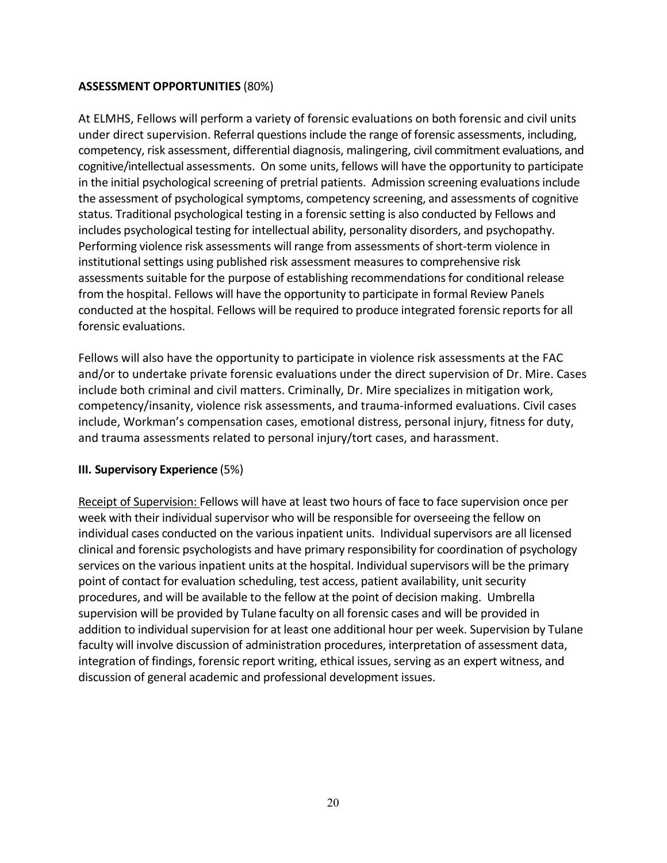### **ASSESSMENT OPPORTUNITIES** (80%)

At ELMHS, Fellows will perform a variety of forensic evaluations on both forensic and civil units under direct supervision. Referral questions include the range of forensic assessments, including, competency, risk assessment, differential diagnosis, malingering, civil commitment evaluations, and cognitive/intellectual assessments. On some units, fellows will have the opportunity to participate in the initial psychological screening of pretrial patients. Admission screening evaluations include the assessment of psychological symptoms, competency screening, and assessments of cognitive status. Traditional psychological testing in a forensic setting is also conducted by Fellows and includes psychological testing for intellectual ability, personality disorders, and psychopathy. Performing violence risk assessments will range from assessments of short-term violence in institutional settings using published risk assessment measures to comprehensive risk assessments suitable for the purpose of establishing recommendations for conditional release from the hospital. Fellows will have the opportunity to participate in formal Review Panels conducted at the hospital. Fellows will be required to produce integrated forensic reports for all forensic evaluations.

Fellows will also have the opportunity to participate in violence risk assessments at the FAC and/or to undertake private forensic evaluations under the direct supervision of Dr. Mire. Cases include both criminal and civil matters. Criminally, Dr. Mire specializes in mitigation work, competency/insanity, violence risk assessments, and trauma-informed evaluations. Civil cases include, Workman's compensation cases, emotional distress, personal injury, fitness for duty, and trauma assessments related to personal injury/tort cases, and harassment.

#### **III. Supervisory Experience** (5%)

Receipt of Supervision: Fellows will have at least two hours of face to face supervision once per week with their individual supervisor who will be responsible for overseeing the fellow on individual cases conducted on the various inpatient units. Individual supervisors are all licensed clinical and forensic psychologists and have primary responsibility for coordination of psychology services on the various inpatient units at the hospital. Individual supervisors will be the primary point of contact for evaluation scheduling, test access, patient availability, unit security procedures, and will be available to the fellow at the point of decision making. Umbrella supervision will be provided by Tulane faculty on all forensic cases and will be provided in addition to individual supervision for at least one additional hour per week. Supervision by Tulane faculty will involve discussion of administration procedures, interpretation of assessment data, integration of findings, forensic report writing, ethical issues, serving as an expert witness, and discussion of general academic and professional development issues.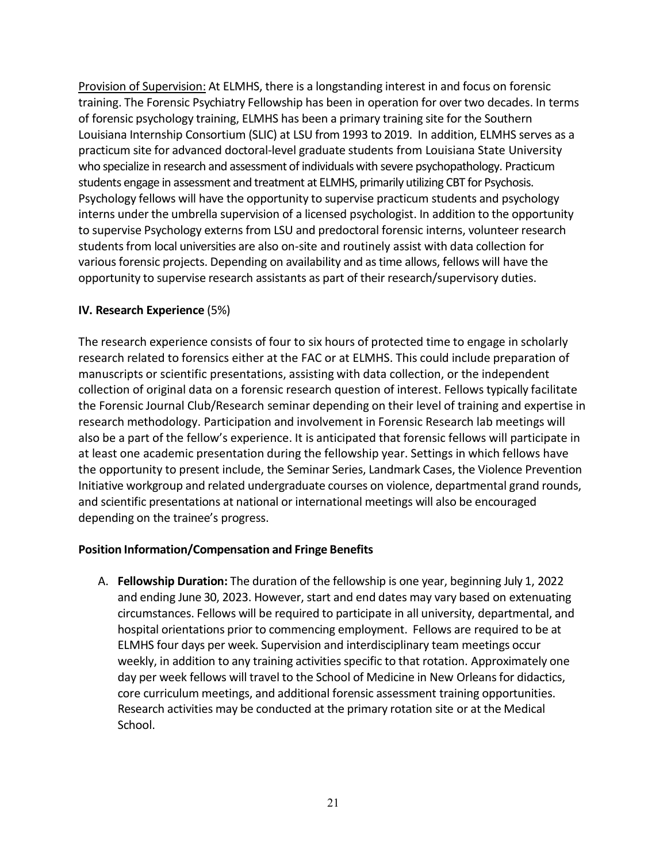Provision of Supervision: At ELMHS, there is a longstanding interest in and focus on forensic training. The Forensic Psychiatry Fellowship has been in operation for over two decades. In terms of forensic psychology training, ELMHS has been a primary training site for the Southern Louisiana Internship Consortium (SLIC) at LSU from 1993 to 2019. In addition, ELMHS serves as a practicum site for advanced doctoral-level graduate students from Louisiana State University who specialize in research and assessment of individuals with severe psychopathology. Practicum students engage in assessment and treatment at ELMHS, primarily utilizing CBT for Psychosis. Psychology fellows will have the opportunity to supervise practicum students and psychology interns under the umbrella supervision of a licensed psychologist. In addition to the opportunity to supervise Psychology externs from LSU and predoctoral forensic interns, volunteer research students from local universities are also on-site and routinely assist with data collection for variousforensic projects. Depending on availability and as time allows, fellows will have the opportunity to supervise research assistants as part of their research/supervisory duties.

### **IV. Research Experience** (5%)

The research experience consists of four to six hours of protected time to engage in scholarly research related to forensics either at the FAC or at ELMHS. This could include preparation of manuscripts or scientific presentations, assisting with data collection, or the independent collection of original data on a forensic research question of interest. Fellows typically facilitate the Forensic Journal Club/Research seminar depending on their level of training and expertise in research methodology. Participation and involvement in Forensic Research lab meetings will also be a part of the fellow's experience. It is anticipated that forensic fellows will participate in at least one academic presentation during the fellowship year. Settings in which fellows have the opportunity to present include, the Seminar Series, Landmark Cases, the Violence Prevention Initiative workgroup and related undergraduate courses on violence, departmental grand rounds, and scientific presentations at national or international meetings will also be encouraged depending on the trainee's progress.

#### **Position Information/Compensation and Fringe Benefits**

A. **Fellowship Duration:** The duration of the fellowship is one year, beginning July 1, 2022 and ending June 30, 2023. However, start and end dates may vary based on extenuating circumstances. Fellows will be required to participate in all university, departmental, and hospital orientations prior to commencing employment. Fellows are required to be at ELMHS four days per week. Supervision and interdisciplinary team meetings occur weekly, in addition to any training activities specific to that rotation. Approximately one day per week fellows will travel to the School of Medicine in New Orleans for didactics, core curriculum meetings, and additional forensic assessment training opportunities. Research activities may be conducted at the primary rotation site or at the Medical School.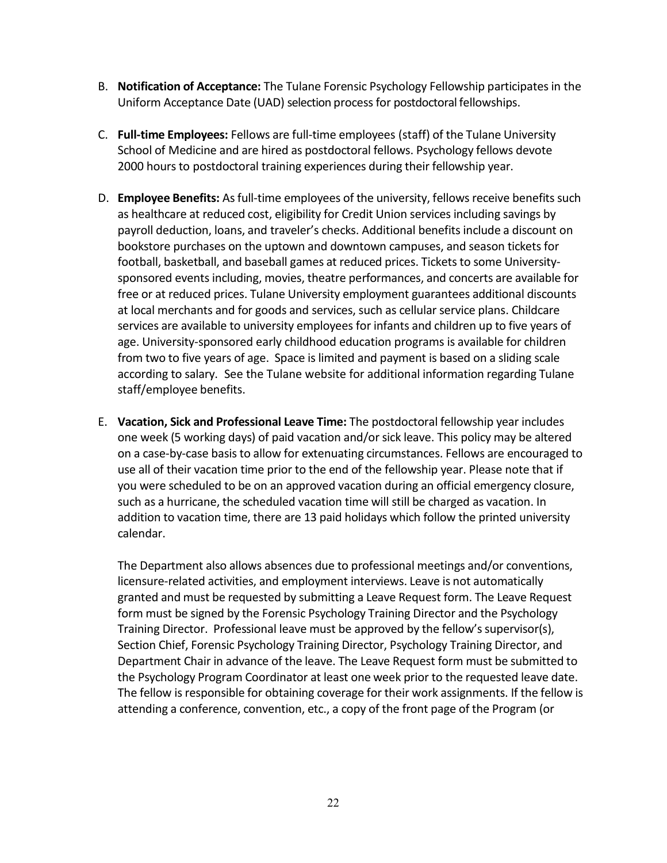- B. **Notification of Acceptance:** The Tulane Forensic Psychology Fellowship participatesin the Uniform Acceptance Date (UAD) selection processfor postdoctoral fellowships.
- C. **Full-time Employees:** Fellows are full-time employees (staff) of the Tulane University School of Medicine and are hired as postdoctoral fellows. Psychology fellows devote 2000 hours to postdoctoral training experiences during their fellowship year.
- D. **Employee Benefits:** As full-time employees of the university, fellows receive benefits such as healthcare at reduced cost, eligibility for Credit Union services including savings by payroll deduction, loans, and traveler's checks. Additional benefits include a discount on bookstore purchases on the uptown and downtown campuses, and season tickets for football, basketball, and baseball games at reduced prices. Tickets to some Universitysponsored events including, movies, theatre performances, and concerts are available for free or at reduced prices. Tulane University employment guarantees additional discounts at local merchants and for goods and services, such as cellular service plans. Childcare services are available to university employees for infants and children up to five years of age. University-sponsored early childhood education programs is available for children from two to five years of age. Space is limited and payment is based on a sliding scale according to salary. See the Tulane website for additional information regarding Tulane staff/employee benefits.
- E. **Vacation, Sick and Professional Leave Time:** The postdoctoral fellowship year includes one week (5 working days) of paid vacation and/or sick leave. This policy may be altered on a case-by-case basisto allow for extenuating circumstances. Fellows are encouraged to use all of their vacation time prior to the end of the fellowship year. Please note that if you were scheduled to be on an approved vacation during an official emergency closure, such as a hurricane, the scheduled vacation time will still be charged as vacation. In addition to vacation time, there are 13 paid holidays which follow the printed university calendar.

The Department also allows absences due to professional meetings and/or conventions, licensure-related activities, and employment interviews. Leave is not automatically granted and must be requested by submitting a Leave Request form. The Leave Request form must be signed by the Forensic Psychology Training Director and the Psychology Training Director. Professional leave must be approved by the fellow's supervisor(s), Section Chief, Forensic Psychology Training Director, Psychology Training Director, and Department Chair in advance of the leave. The Leave Request form must be submitted to the Psychology Program Coordinator at least one week prior to the requested leave date. The fellow is responsible for obtaining coverage for their work assignments. If the fellow is attending a conference, convention, etc., a copy of the front page of the Program (or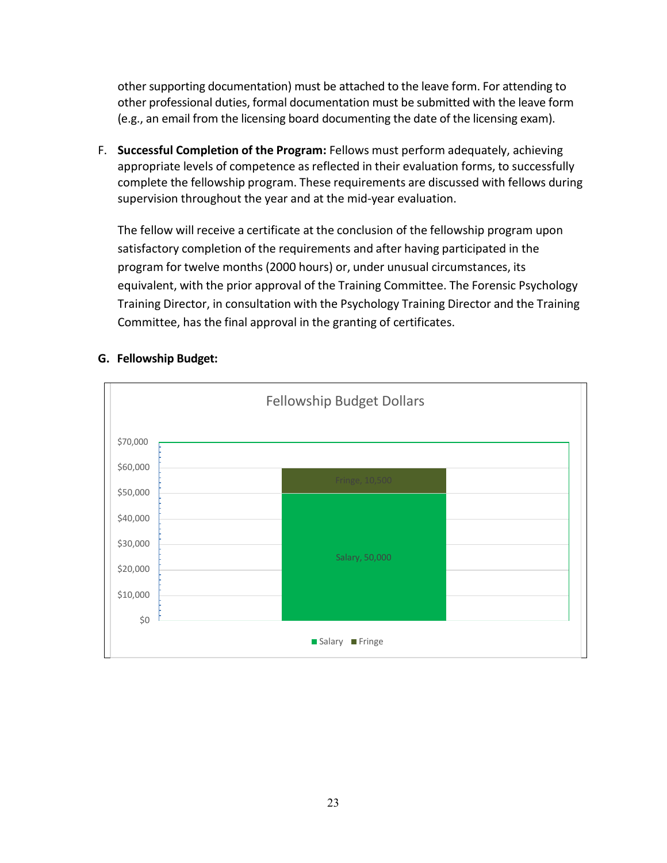other supporting documentation) must be attached to the leave form. For attending to other professional duties, formal documentation must be submitted with the leave form (e.g., an email from the licensing board documenting the date of the licensing exam).

F. **Successful Completion of the Program:** Fellows must perform adequately, achieving appropriate levels of competence as reflected in their evaluation forms, to successfully complete the fellowship program. These requirements are discussed with fellows during supervision throughout the year and at the mid-year evaluation.

The fellow will receive a certificate at the conclusion of the fellowship program upon satisfactory completion of the requirements and after having participated in the program for twelve months (2000 hours) or, under unusual circumstances, its equivalent, with the prior approval of the Training Committee. The Forensic Psychology Training Director, in consultation with the Psychology Training Director and the Training Committee, has the final approval in the granting of certificates.



# **G. Fellowship Budget:**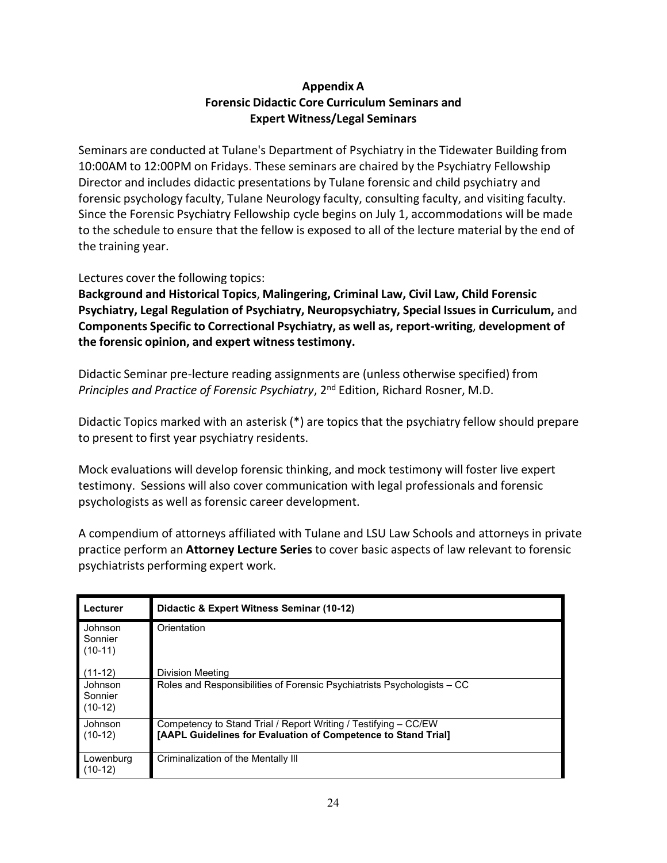### **Appendix A Forensic Didactic Core Curriculum Seminars and Expert Witness/Legal Seminars**

Seminars are conducted at Tulane's Department of Psychiatry in the Tidewater Building from 10:00AM to 12:00PM on Fridays. These seminars are chaired by the Psychiatry Fellowship Director and includes didactic presentations by Tulane forensic and child psychiatry and forensic psychology faculty, Tulane Neurology faculty, consulting faculty, and visiting faculty. Since the Forensic Psychiatry Fellowship cycle begins on July 1, accommodations will be made to the schedule to ensure that the fellow is exposed to all of the lecture material by the end of the training year.

Lectures cover the following topics:

**Background and Historical Topics**, **Malingering, Criminal Law, Civil Law, Child Forensic Psychiatry, Legal Regulation of Psychiatry, Neuropsychiatry, Special Issues in Curriculum,** and **Components Specific to Correctional Psychiatry, as well as, report-writing**, **development of the forensic opinion, and expert witnesstestimony.**

Didactic Seminar pre-lecture reading assignments are (unless otherwise specified) from *Principles and Practice of Forensic Psychiatry*, 2nd Edition, Richard Rosner, M.D.

Didactic Topics marked with an asterisk (\*) are topics that the psychiatry fellow should prepare to present to first year psychiatry residents.

Mock evaluations will develop forensic thinking, and mock testimony will foster live expert testimony. Sessions will also cover communication with legal professionals and forensic psychologists as well as forensic career development.

A compendium of attorneys affiliated with Tulane and LSU Law Schools and attorneys in private practice perform an **Attorney Lecture Series** to cover basic aspects of law relevant to forensic psychiatrists performing expert work.

| Lecturer                        | Didactic & Expert Witness Seminar (10-12)                               |
|---------------------------------|-------------------------------------------------------------------------|
| Johnson<br>Sonnier<br>$(10-11)$ | Orientation                                                             |
| $(11-12)$                       | Division Meeting                                                        |
| Johnson<br>Sonnier<br>$(10-12)$ | Roles and Responsibilities of Forensic Psychiatrists Psychologists – CC |
| Johnson                         | Competency to Stand Trial / Report Writing / Testifying – CC/EW         |
| $(10-12)$                       | [AAPL Guidelines for Evaluation of Competence to Stand Trial]           |
| Lowenburg<br>$(10-12)$          | Criminalization of the Mentally III                                     |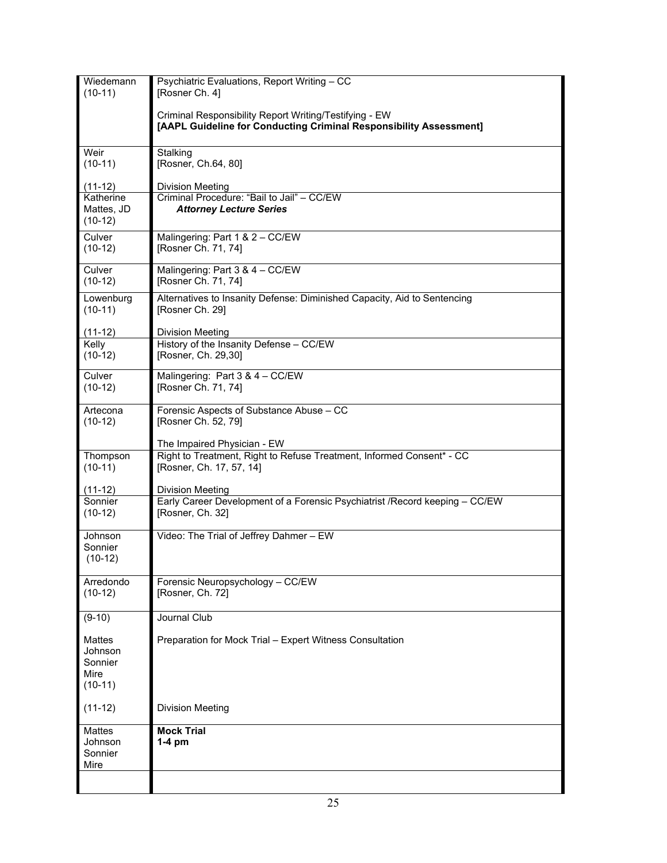| Wiedemann<br>$(10-11)$                                   | Psychiatric Evaluations, Report Writing - CC<br>[Rosner Ch. 4]                                                               |  |  |
|----------------------------------------------------------|------------------------------------------------------------------------------------------------------------------------------|--|--|
|                                                          | Criminal Responsibility Report Writing/Testifying - EW<br>[AAPL Guideline for Conducting Criminal Responsibility Assessment] |  |  |
| Weir<br>$(10-11)$                                        | Stalking<br>[Rosner, Ch.64, 80]                                                                                              |  |  |
| $(11-12)$<br>Katherine<br>Mattes, JD<br>$(10-12)$        | Division Meeting<br>Criminal Procedure: "Bail to Jail" - CC/EW<br><b>Attorney Lecture Series</b>                             |  |  |
| Culver<br>$(10-12)$                                      | Malingering: Part 1 & 2 - CC/EW<br>[Rosner Ch. 71, 74]                                                                       |  |  |
| Culver<br>$(10-12)$                                      | Malingering: Part 3 & 4 - CC/EW<br>[Rosner Ch. 71, 74]                                                                       |  |  |
| Lowenburg<br>$(10-11)$                                   | Alternatives to Insanity Defense: Diminished Capacity, Aid to Sentencing<br>[Rosner Ch. 29]                                  |  |  |
| $(11-12)$                                                | <b>Division Meeting</b>                                                                                                      |  |  |
| Kelly<br>$(10-12)$                                       | History of the Insanity Defense - CC/EW<br>[Rosner, Ch. 29,30]                                                               |  |  |
| Culver<br>$(10-12)$                                      | Malingering: Part 3 & 4 - CC/EW<br>[Rosner Ch. 71, 74]                                                                       |  |  |
| Artecona<br>$(10-12)$                                    | Forensic Aspects of Substance Abuse - CC<br>[Rosner Ch. 52, 79]                                                              |  |  |
|                                                          | The Impaired Physician - EW                                                                                                  |  |  |
| Thompson<br>$(10-11)$                                    | Right to Treatment, Right to Refuse Treatment, Informed Consent* - CC<br>[Rosner, Ch. 17, 57, 14]                            |  |  |
| $(11-12)$                                                | <b>Division Meeting</b>                                                                                                      |  |  |
| Sonnier<br>$(10-12)$                                     | Early Career Development of a Forensic Psychiatrist / Record keeping - CC/EW<br>[Rosner, Ch. 32]                             |  |  |
| Johnson<br>Sonnier<br>$(10-12)$                          | Video: The Trial of Jeffrey Dahmer - EW                                                                                      |  |  |
| Arredondo<br>$(10-12)$                                   | Forensic Neuropsychology - CC/EW<br>[Rosner, Ch. 72]                                                                         |  |  |
| $(9-10)$                                                 | Journal Club                                                                                                                 |  |  |
| <b>Mattes</b><br>Johnson<br>Sonnier<br>Mire<br>$(10-11)$ | Preparation for Mock Trial - Expert Witness Consultation                                                                     |  |  |
| $(11-12)$                                                | <b>Division Meeting</b>                                                                                                      |  |  |
| Mattes<br>Johnson<br>Sonnier<br>Mire                     | <b>Mock Trial</b><br>$1-4$ pm                                                                                                |  |  |
|                                                          |                                                                                                                              |  |  |
|                                                          |                                                                                                                              |  |  |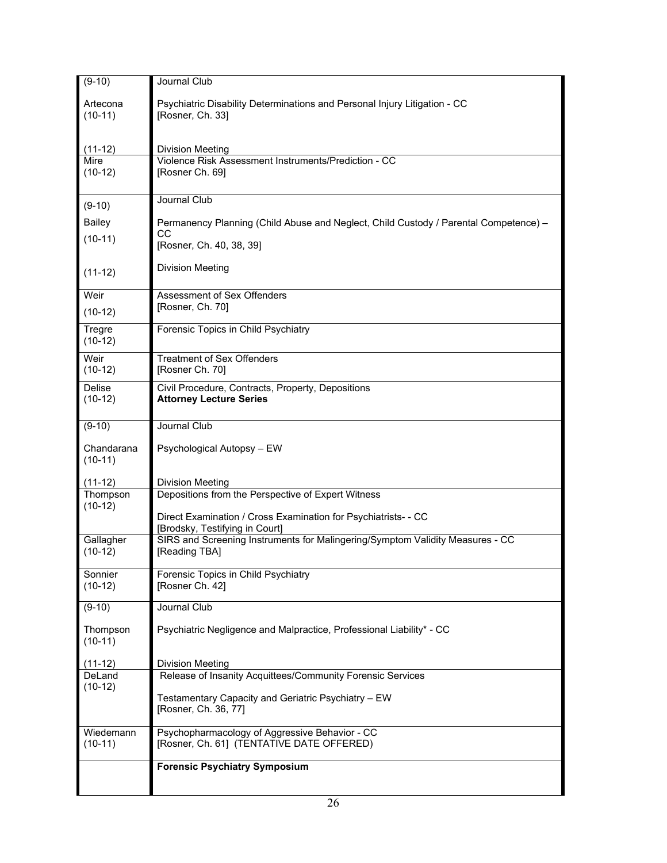| $(9-10)$                | Journal Club                                                                                     |  |  |  |
|-------------------------|--------------------------------------------------------------------------------------------------|--|--|--|
| Artecona<br>$(10-11)$   | Psychiatric Disability Determinations and Personal Injury Litigation - CC<br>[Rosner, Ch. 33]    |  |  |  |
| $(11-12)$<br>Mire       | <b>Division Meeting</b><br>Violence Risk Assessment Instruments/Prediction - CC                  |  |  |  |
| $(10-12)$               | [Rosner Ch. 69]                                                                                  |  |  |  |
| $(9-10)$                | Journal Club                                                                                     |  |  |  |
| <b>Bailey</b>           | Permanency Planning (Child Abuse and Neglect, Child Custody / Parental Competence) -             |  |  |  |
| $(10-11)$               | CС<br>[Rosner, Ch. 40, 38, 39]                                                                   |  |  |  |
| $(11-12)$               | <b>Division Meeting</b>                                                                          |  |  |  |
| Weir                    | Assessment of Sex Offenders                                                                      |  |  |  |
| $(10-12)$               | [Rosner, Ch. 70]                                                                                 |  |  |  |
| Tregre<br>$(10-12)$     | Forensic Topics in Child Psychiatry                                                              |  |  |  |
| Weir<br>$(10-12)$       | <b>Treatment of Sex Offenders</b><br>[Rosner Ch. 70]                                             |  |  |  |
| Delise<br>$(10-12)$     | Civil Procedure, Contracts, Property, Depositions<br><b>Attorney Lecture Series</b>              |  |  |  |
| $(9-10)$                | Journal Club                                                                                     |  |  |  |
| Chandarana<br>$(10-11)$ | Psychological Autopsy - EW                                                                       |  |  |  |
| $(11-12)$               | <b>Division Meeting</b>                                                                          |  |  |  |
| Thompson<br>$(10-12)$   | Depositions from the Perspective of Expert Witness                                               |  |  |  |
|                         | Direct Examination / Cross Examination for Psychiatrists- - CC<br>[Brodsky, Testifying in Court] |  |  |  |
| Gallagher<br>$(10-12)$  | SIRS and Screening Instruments for Malingering/Symptom Validity Measures - CC<br>[Reading TBA]   |  |  |  |
| Sonnier<br>$(10-12)$    | Forensic Topics in Child Psychiatry<br>[Rosner Ch. 42]                                           |  |  |  |
| $(9-10)$                | Journal Club                                                                                     |  |  |  |
| Thompson<br>$(10-11)$   | Psychiatric Negligence and Malpractice, Professional Liability* - CC                             |  |  |  |
| $(11-12)$               | <b>Division Meeting</b>                                                                          |  |  |  |
| DeLand<br>$(10-12)$     | Release of Insanity Acquittees/Community Forensic Services                                       |  |  |  |
|                         | Testamentary Capacity and Geriatric Psychiatry - EW<br>[Rosner, Ch. 36, 77]                      |  |  |  |
| Wiedemann<br>$(10-11)$  | Psychopharmacology of Aggressive Behavior - CC<br>[Rosner, Ch. 61] (TENTATIVE DATE OFFERED)      |  |  |  |
|                         | <b>Forensic Psychiatry Symposium</b>                                                             |  |  |  |
|                         |                                                                                                  |  |  |  |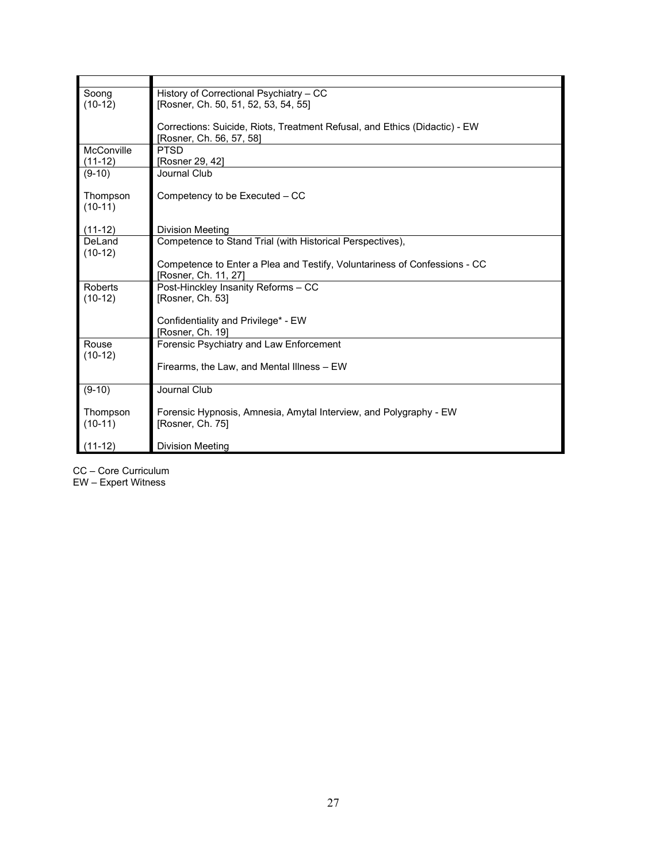| Soong          | History of Correctional Psychiatry – CC                                    |  |  |
|----------------|----------------------------------------------------------------------------|--|--|
| $(10-12)$      | [Rosner, Ch. 50, 51, 52, 53, 54, 55]                                       |  |  |
|                |                                                                            |  |  |
|                | Corrections: Suicide, Riots, Treatment Refusal, and Ethics (Didactic) - EW |  |  |
|                | [Rosner, Ch. 56, 57, 58]                                                   |  |  |
| McConville     | <b>PTSD</b>                                                                |  |  |
| $(11-12)$      | [Rosner 29, 42]                                                            |  |  |
| $(9-10)$       | Journal Club                                                               |  |  |
|                |                                                                            |  |  |
| Thompson       | Competency to be Executed – CC                                             |  |  |
| $(10-11)$      |                                                                            |  |  |
| $(11-12)$      | <b>Division Meeting</b>                                                    |  |  |
| DeLand         | Competence to Stand Trial (with Historical Perspectives),                  |  |  |
| $(10-12)$      |                                                                            |  |  |
|                | Competence to Enter a Plea and Testify, Voluntariness of Confessions - CC  |  |  |
|                | [Rosner, Ch. 11, 27]                                                       |  |  |
| <b>Roberts</b> | Post-Hinckley Insanity Reforms - CC                                        |  |  |
| $(10-12)$      | [Rosner, Ch. 53]                                                           |  |  |
|                |                                                                            |  |  |
|                | Confidentiality and Privilege* - EW                                        |  |  |
|                | [Rosner, Ch. 19]                                                           |  |  |
| Rouse          | Forensic Psychiatry and Law Enforcement                                    |  |  |
| $(10-12)$      |                                                                            |  |  |
|                | Firearms, the Law, and Mental Illness - EW                                 |  |  |
|                |                                                                            |  |  |
| $(9-10)$       | Journal Club                                                               |  |  |
|                |                                                                            |  |  |
| Thompson       | Forensic Hypnosis, Amnesia, Amytal Interview, and Polygraphy - EW          |  |  |
| $(10-11)$      | [Rosner, Ch. 75]                                                           |  |  |
|                |                                                                            |  |  |
| $(11-12)$      | <b>Division Meeting</b>                                                    |  |  |

CC – Core Curriculum

EW – Expert Witness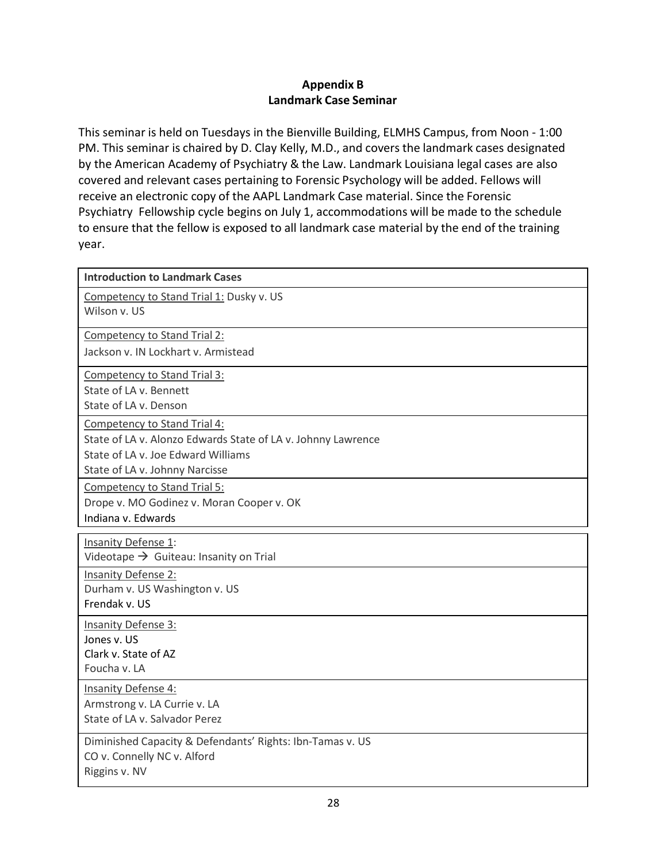# **Appendix B Landmark Case Seminar**

This seminar is held on Tuesdays in the Bienville Building, ELMHS Campus, from Noon - 1:00 PM. This seminar is chaired by D. Clay Kelly, M.D., and covers the landmark cases designated by the American Academy of Psychiatry & the Law. Landmark Louisiana legal cases are also covered and relevant cases pertaining to Forensic Psychology will be added. Fellows will receive an electronic copy of the AAPL Landmark Case material. Since the Forensic Psychiatry Fellowship cycle begins on July 1, accommodations will be made to the schedule to ensure that the fellow is exposed to all landmark case material by the end of the training year.

| <b>Introduction to Landmark Cases</b>                                                                                                                                |
|----------------------------------------------------------------------------------------------------------------------------------------------------------------------|
| Competency to Stand Trial 1: Dusky v. US<br>Wilson v. US                                                                                                             |
| Competency to Stand Trial 2:<br>Jackson v. IN Lockhart v. Armistead                                                                                                  |
| Competency to Stand Trial 3:<br>State of LA v. Bennett<br>State of LA v. Denson                                                                                      |
| Competency to Stand Trial 4:<br>State of LA v. Alonzo Edwards State of LA v. Johnny Lawrence<br>State of LA v. Joe Edward Williams<br>State of LA v. Johnny Narcisse |
| Competency to Stand Trial 5:<br>Drope v. MO Godinez v. Moran Cooper v. OK<br>Indiana v. Edwards                                                                      |
| Insanity Defense 1:<br>Videotape $\rightarrow$ Guiteau: Insanity on Trial                                                                                            |
| <b>Insanity Defense 2:</b><br>Durham v. US Washington v. US<br>Frendak v. US                                                                                         |
| Insanity Defense 3:<br>Jones v. US<br>Clark v. State of AZ<br>Foucha v. LA                                                                                           |
| <b>Insanity Defense 4:</b><br>Armstrong v. LA Currie v. LA<br>State of LA v. Salvador Perez                                                                          |
| Diminished Capacity & Defendants' Rights: Ibn-Tamas v. US<br>CO v. Connelly NC v. Alford<br>Riggins v. NV                                                            |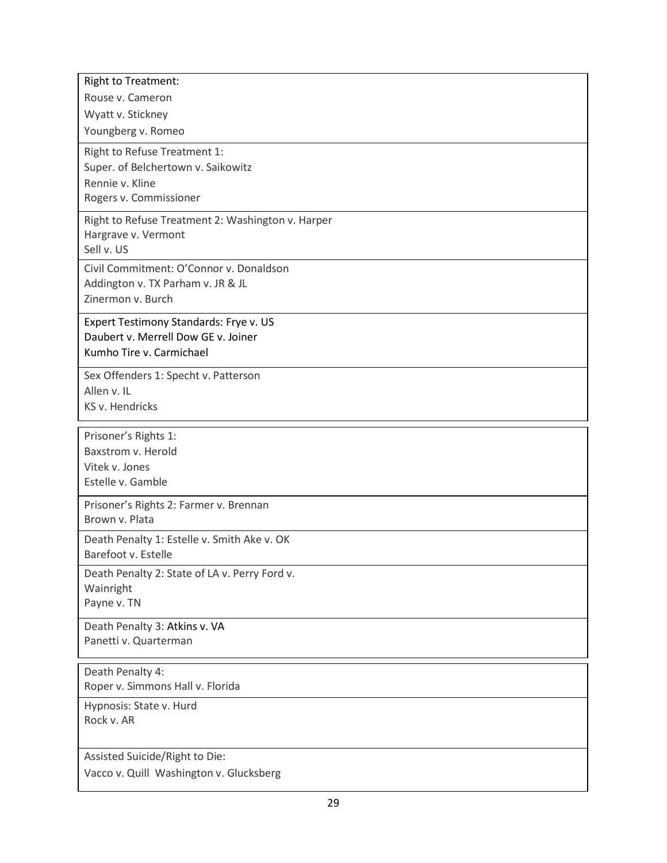| <b>Right to Treatment:</b>                                      |
|-----------------------------------------------------------------|
| Rouse v. Cameron                                                |
| Wyatt v. Stickney                                               |
| Youngberg v. Romeo                                              |
| Right to Refuse Treatment 1:                                    |
| Super. of Belchertown v. Saikowitz                              |
| Rennie v. Kline                                                 |
| Rogers v. Commissioner                                          |
| Right to Refuse Treatment 2: Washington v. Harper               |
| Hargrave v. Vermont                                             |
| Sell v. US                                                      |
| Civil Commitment: O'Connor v. Donaldson                         |
| Addington v. TX Parham v. JR & JL<br>Zinermon v. Burch          |
|                                                                 |
| Expert Testimony Standards: Frye v. US                          |
| Daubert v. Merrell Dow GE v. Joiner<br>Kumho Tire v. Carmichael |
|                                                                 |
| Sex Offenders 1: Specht v. Patterson                            |
| Allen v. IL                                                     |
| KS v. Hendricks                                                 |
|                                                                 |
| Prisoner's Rights 1:                                            |
| Baxstrom v. Herold                                              |
| Vitek v. Jones                                                  |
| Estelle v. Gamble                                               |
| Prisoner's Rights 2: Farmer v. Brennan                          |
| Brown v. Plata                                                  |
| Death Penalty 1: Estelle v. Smith Ake v. OK                     |
| Barefoot v. Estelle                                             |
| Death Penalty 2: State of LA v. Perry Ford v.                   |
| Wainright                                                       |
| Payne v. TN                                                     |
| Death Penalty 3: Atkins v. VA                                   |
| Panetti v. Quarterman                                           |
| Death Penalty 4:                                                |
| Roper v. Simmons Hall v. Florida                                |
| Hypnosis: State v. Hurd                                         |
| Rock v. AR                                                      |
|                                                                 |
| Assisted Suicide/Right to Die:                                  |

 $\mathsf{l}$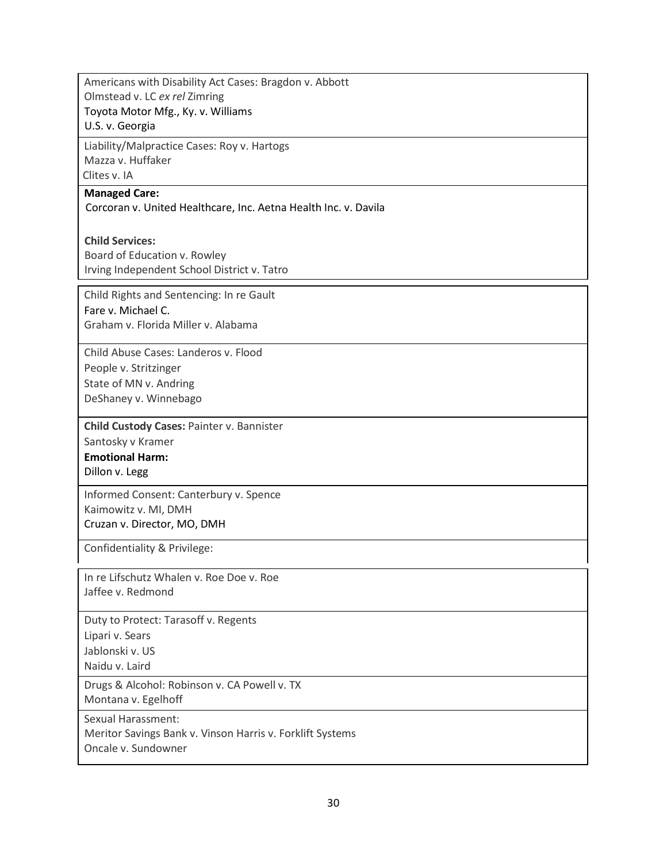| Americans with Disability Act Cases: Bragdon v. Abbott<br>Olmstead v. LC ex rel Zimring<br>Toyota Motor Mfg., Ky. v. Williams<br>U.S. v. Georgia |  |  |  |  |
|--------------------------------------------------------------------------------------------------------------------------------------------------|--|--|--|--|
| Liability/Malpractice Cases: Roy v. Hartogs<br>Mazza v. Huffaker<br>Clites v. IA                                                                 |  |  |  |  |
| <b>Managed Care:</b><br>Corcoran v. United Healthcare, Inc. Aetna Health Inc. v. Davila                                                          |  |  |  |  |
| <b>Child Services:</b><br>Board of Education v. Rowley<br>Irving Independent School District v. Tatro                                            |  |  |  |  |
| Child Rights and Sentencing: In re Gault<br>Fare v. Michael C.<br>Graham v. Florida Miller v. Alabama                                            |  |  |  |  |
| Child Abuse Cases: Landeros v. Flood<br>People v. Stritzinger<br>State of MN v. Andring<br>DeShaney v. Winnebago                                 |  |  |  |  |
| Child Custody Cases: Painter v. Bannister<br>Santosky v Kramer<br><b>Emotional Harm:</b><br>Dillon v. Legg                                       |  |  |  |  |
| Informed Consent: Canterbury v. Spence<br>Kaimowitz v. MI, DMH<br>Cruzan v. Director, MO, DMH                                                    |  |  |  |  |
| Confidentiality & Privilege:                                                                                                                     |  |  |  |  |
| In re Lifschutz Whalen v. Roe Doe v. Roe<br>Jaffee v. Redmond                                                                                    |  |  |  |  |
| Duty to Protect: Tarasoff v. Regents<br>Lipari v. Sears<br>Jablonski v. US<br>Naidu v. Laird                                                     |  |  |  |  |
| Drugs & Alcohol: Robinson v. CA Powell v. TX<br>Montana v. Egelhoff                                                                              |  |  |  |  |
| Sexual Harassment:<br>Meritor Savings Bank v. Vinson Harris v. Forklift Systems<br>Oncale v. Sundowner                                           |  |  |  |  |